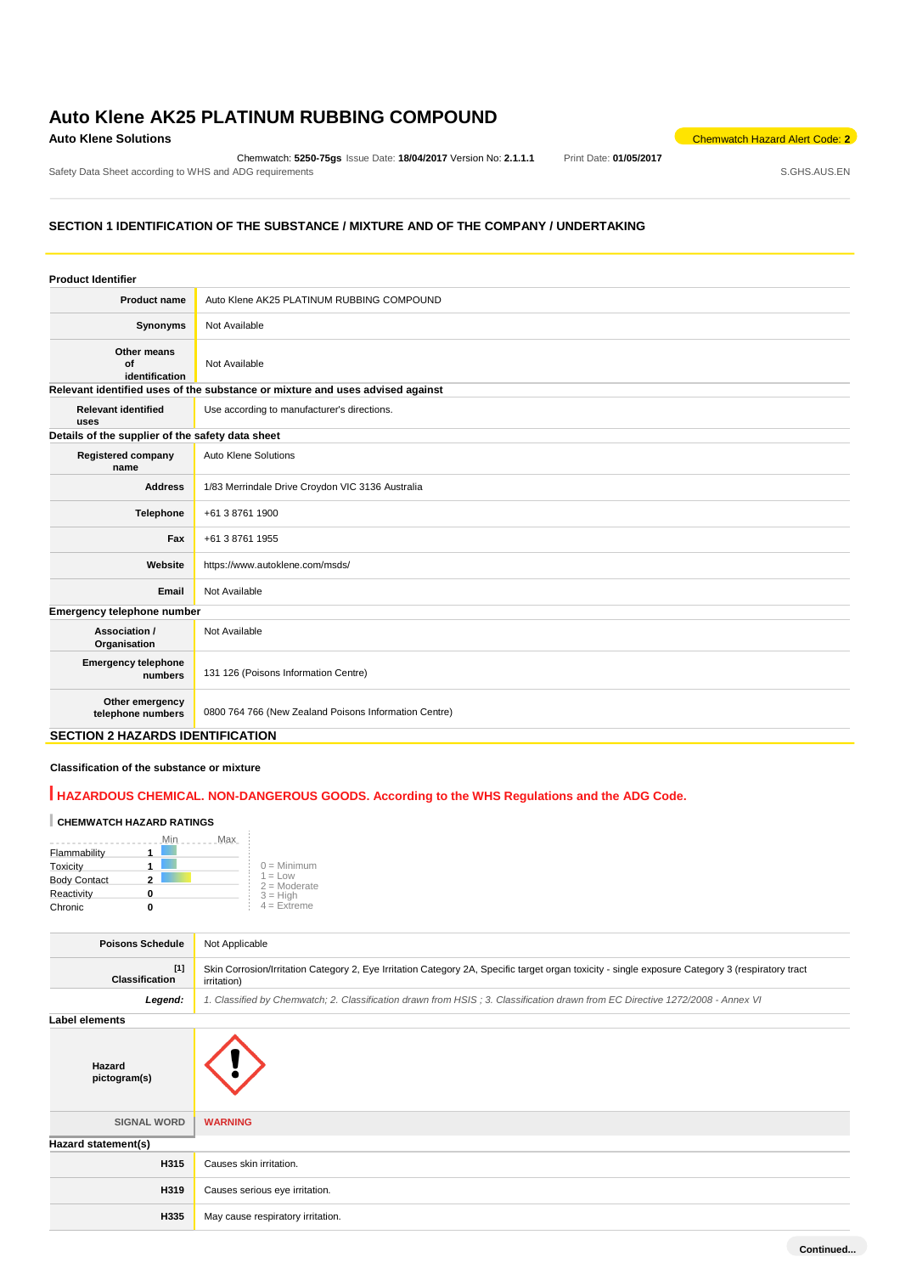Chemwatch: **5250-75gs** Issue Date: **18/04/2017** Version No: **2.1.1.1** Print Date: **01/05/2017** Safety Data Sheet according to WHS and ADG requirements **SAFE ALT ACCORDING THE SAFE AREA CONSTRUSTED** S.GHS.AUS.EN

**Auto Klene Solutions** Chemwatch Hazard Alert Code: 2<sup>2</sup>

### **SECTION 1 IDENTIFICATION OF THE SUBSTANCE / MIXTURE AND OF THE COMPANY / UNDERTAKING**

| <b>Product Identifier</b>                        |                                                                               |  |  |
|--------------------------------------------------|-------------------------------------------------------------------------------|--|--|
| <b>Product name</b>                              | Auto Klene AK25 PLATINUM RUBBING COMPOUND                                     |  |  |
| Synonyms                                         | Not Available                                                                 |  |  |
| Other means<br>of<br>identification              | Not Available                                                                 |  |  |
|                                                  | Relevant identified uses of the substance or mixture and uses advised against |  |  |
| <b>Relevant identified</b><br>uses               | Use according to manufacturer's directions.                                   |  |  |
| Details of the supplier of the safety data sheet |                                                                               |  |  |
| <b>Registered company</b><br>name                | Auto Klene Solutions                                                          |  |  |
| <b>Address</b>                                   | 1/83 Merrindale Drive Croydon VIC 3136 Australia                              |  |  |
| Telephone                                        | +61 3 8761 1900                                                               |  |  |
| Fax                                              | +61 3 8761 1955                                                               |  |  |
| Website                                          | https://www.autoklene.com/msds/                                               |  |  |
| Email                                            | Not Available                                                                 |  |  |
|                                                  | Emergency telephone number                                                    |  |  |
| Association /<br>Organisation                    | Not Available                                                                 |  |  |
| <b>Emergency telephone</b><br>numbers            | 131 126 (Poisons Information Centre)                                          |  |  |
| Other emergency<br>telephone numbers             | 0800 764 766 (New Zealand Poisons Information Centre)                         |  |  |

# **SECTION 2 HAZARDS IDENTIFICATION**

### **Classification of the substance or mixture**

# **HAZARDOUS CHEMICAL. NON-DANGEROUS GOODS. According to the WHS Regulations and the ADG Code.**

## **CHEMWATCH HAZARD RATINGS**

|                     | Max<br>Min |                             |
|---------------------|------------|-----------------------------|
| Flammability        |            |                             |
| Toxicity            |            | $0 =$ Minimum               |
| <b>Body Contact</b> |            | $1 = Low$<br>$2 =$ Moderate |
| Reactivity          |            | $3 = High$                  |
| Chronic             |            | $4 =$ Extreme               |

| <b>Poisons Schedule</b>        | Not Applicable                                                                                                                                                  |  |  |  |
|--------------------------------|-----------------------------------------------------------------------------------------------------------------------------------------------------------------|--|--|--|
| $[1]$<br><b>Classification</b> | Skin Corrosion/Irritation Category 2, Eye Irritation Category 2A, Specific target organ toxicity - single exposure Category 3 (respiratory tract<br>irritation) |  |  |  |
| Legend:                        | 1. Classified by Chemwatch; 2. Classification drawn from HSIS; 3. Classification drawn from EC Directive 1272/2008 - Annex VI                                   |  |  |  |
| <b>Label elements</b>          |                                                                                                                                                                 |  |  |  |
| Hazard<br>pictogram(s)         |                                                                                                                                                                 |  |  |  |
| <b>SIGNAL WORD</b>             | <b>WARNING</b>                                                                                                                                                  |  |  |  |
| Hazard statement(s)            |                                                                                                                                                                 |  |  |  |
| H315                           | Causes skin irritation.                                                                                                                                         |  |  |  |
| H319                           | Causes serious eye irritation.                                                                                                                                  |  |  |  |
| H335                           | May cause respiratory irritation.                                                                                                                               |  |  |  |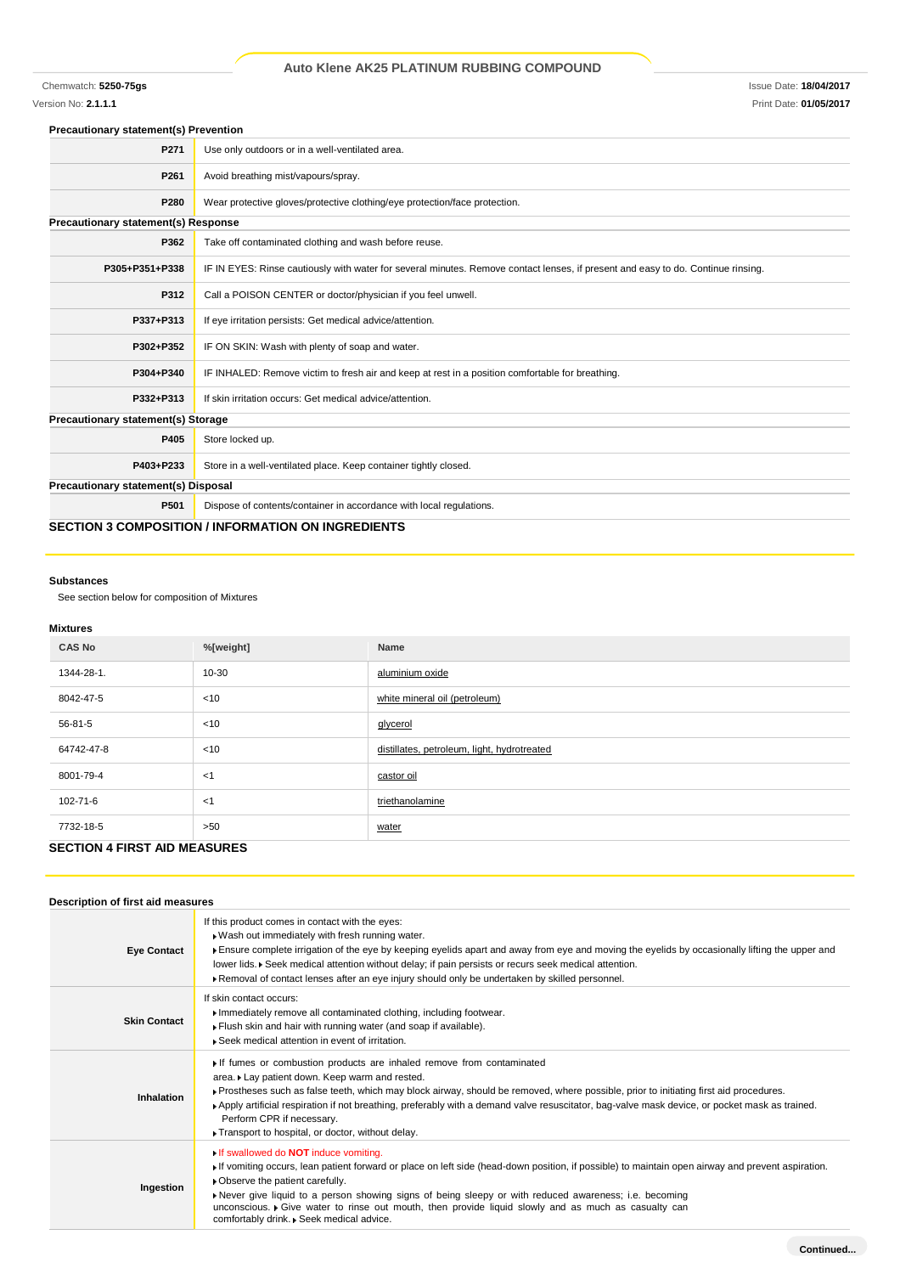Chemwatch: **5250-75gs** Issue Date: **18/04/2017** Version No: **2.1.1.1** Print Date: **01/05/2017**

### **Precautionary statement(s) Prevention**

| P271                                                      | Use only outdoors or in a well-ventilated area.                                                                                  |  |  |  |
|-----------------------------------------------------------|----------------------------------------------------------------------------------------------------------------------------------|--|--|--|
| P261                                                      | Avoid breathing mist/vapours/spray.                                                                                              |  |  |  |
| P280                                                      | Wear protective gloves/protective clothing/eye protection/face protection.                                                       |  |  |  |
| Precautionary statement(s) Response                       |                                                                                                                                  |  |  |  |
| P362                                                      | Take off contaminated clothing and wash before reuse.                                                                            |  |  |  |
| P305+P351+P338                                            | IF IN EYES: Rinse cautiously with water for several minutes. Remove contact lenses, if present and easy to do. Continue rinsing. |  |  |  |
| P312                                                      | Call a POISON CENTER or doctor/physician if you feel unwell.                                                                     |  |  |  |
| P337+P313                                                 | If eye irritation persists: Get medical advice/attention.                                                                        |  |  |  |
| P302+P352                                                 | IF ON SKIN: Wash with plenty of soap and water.                                                                                  |  |  |  |
| P304+P340                                                 | IF INHALED: Remove victim to fresh air and keep at rest in a position comfortable for breathing.                                 |  |  |  |
| P332+P313                                                 | If skin irritation occurs: Get medical advice/attention.                                                                         |  |  |  |
| Precautionary statement(s) Storage                        |                                                                                                                                  |  |  |  |
| P405                                                      | Store locked up.                                                                                                                 |  |  |  |
| P403+P233                                                 | Store in a well-ventilated place. Keep container tightly closed.                                                                 |  |  |  |
| Precautionary statement(s) Disposal                       |                                                                                                                                  |  |  |  |
| P501                                                      | Dispose of contents/container in accordance with local regulations.                                                              |  |  |  |
| <b>SECTION 3 COMPOSITION / INFORMATION ON INGREDIENTS</b> |                                                                                                                                  |  |  |  |

### **Substances**

See section below for composition of Mixtures

### **Mixtures**

| <b>CAS No</b>                       | %[weight] | Name                                        |  |  |  |
|-------------------------------------|-----------|---------------------------------------------|--|--|--|
| 1344-28-1.                          | 10-30     | aluminium oxide                             |  |  |  |
| 8042-47-5                           | $<$ 10    | white mineral oil (petroleum)               |  |  |  |
| 56-81-5                             | $<$ 10    | glycerol                                    |  |  |  |
| 64742-47-8                          | $<$ 10    | distillates, petroleum, light, hydrotreated |  |  |  |
| 8001-79-4                           | $<$ 1     | castor oil                                  |  |  |  |
| 102-71-6                            | < 1       | triethanolamine                             |  |  |  |
| 7732-18-5                           | >50       | water                                       |  |  |  |
| <b>SECTION 4 FIRST AID MEASURES</b> |           |                                             |  |  |  |

# **Description of first aid measures**

| Desemption of mist and measures |                                                                                                                                                                                                                                                                                                                                                                                                                                                                                                    |
|---------------------------------|----------------------------------------------------------------------------------------------------------------------------------------------------------------------------------------------------------------------------------------------------------------------------------------------------------------------------------------------------------------------------------------------------------------------------------------------------------------------------------------------------|
| <b>Eye Contact</b>              | If this product comes in contact with the eyes:<br>. Wash out immediately with fresh running water.<br>Ensure complete irrigation of the eye by keeping eyelids apart and away from eye and moving the eyelids by occasionally lifting the upper and<br>lower lids. • Seek medical attention without delay; if pain persists or recurs seek medical attention.<br>Removal of contact lenses after an eye injury should only be undertaken by skilled personnel.                                    |
| <b>Skin Contact</b>             | If skin contact occurs:<br>Immediately remove all contaminated clothing, including footwear.<br>Flush skin and hair with running water (and soap if available).<br>▶ Seek medical attention in event of irritation.                                                                                                                                                                                                                                                                                |
| Inhalation                      | If fumes or combustion products are inhaled remove from contaminated<br>area. Lay patient down. Keep warm and rested.<br>Prostheses such as false teeth, which may block airway, should be removed, where possible, prior to initiating first aid procedures.<br>▶ Apply artificial respiration if not breathing, preferably with a demand valve resuscitator, bag-valve mask device, or pocket mask as trained.<br>Perform CPR if necessary.<br>Transport to hospital, or doctor, without delay.  |
| Ingestion                       | If swallowed do <b>NOT</b> induce vomiting.<br>If vomiting occurs, lean patient forward or place on left side (head-down position, if possible) to maintain open airway and prevent aspiration.<br>• Observe the patient carefully.<br>▶ Never give liquid to a person showing signs of being sleepy or with reduced awareness; i.e. becoming<br>unconscious. • Give water to rinse out mouth, then provide liquid slowly and as much as casualty can<br>comfortably drink. . Seek medical advice. |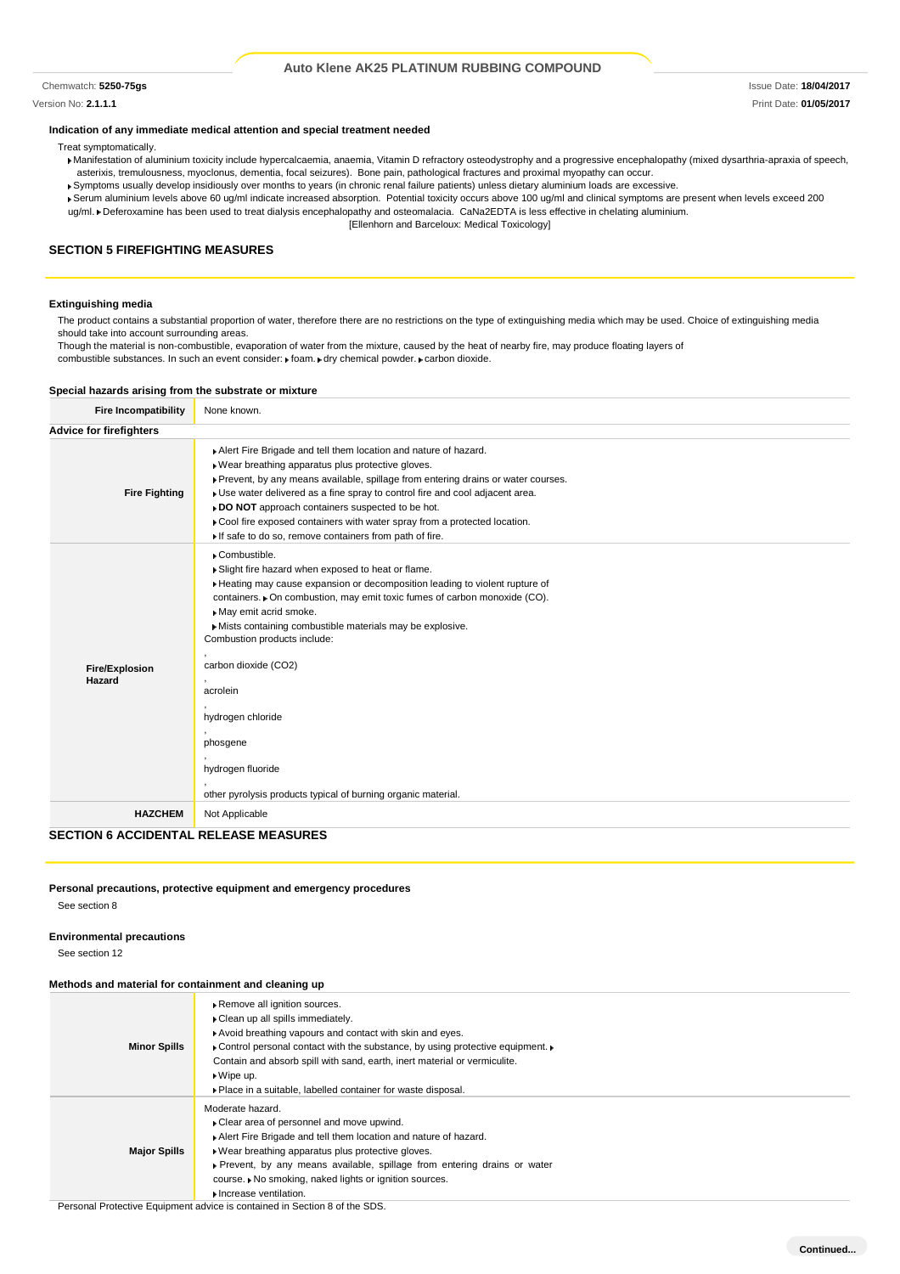Chemwatch: **5250-75gs** Issue Date: **18/04/2017**

Version No: **2.1.1.1** Print Date: **01/05/2017**

### **Indication of any immediate medical attention and special treatment needed**

Treat symptomatically.

- Manifestation of aluminium toxicity include hypercalcaemia, anaemia, Vitamin D refractory osteodystrophy and a progressive encephalopathy (mixed dysarthria-apraxia of speech, asterixis, tremulousness, myoclonus, dementia, focal seizures). Bone pain, pathological fractures and proximal myopathy can occur.
- Symptoms usually develop insidiously over months to years (in chronic renal failure patients) unless dietary aluminium loads are excessive.
- Serum aluminium levels above 60 ug/ml indicate increased absorption. Potential toxicity occurs above 100 ug/ml and clinical symptoms are present when levels exceed 200 ug/ml. Deferoxamine has been used to treat dialysis encephalopathy and osteomalacia. CaNa2EDTA is less effective in chelating aluminium.

[Ellenhorn and Barceloux: Medical Toxicology]

### **SECTION 5 FIREFIGHTING MEASURES**

### **Extinguishing media**

The product contains a substantial proportion of water, therefore there are no restrictions on the type of extinguishing media which may be used. Choice of extinguishing media should take into account surrounding areas.

Though the material is non-combustible, evaporation of water from the mixture, caused by the heat of nearby fire, may produce floating layers of

combustible substances. In such an event consider: Foam. Fdry chemical powder. Fcarbon dioxide.

### **Special hazards arising from the substrate or mixture**

| <b>Fire Incompatibility</b>                  | None known.                                                                                                                                                                                                                                                                                                                                                                                                                                                                                                   |  |  |  |
|----------------------------------------------|---------------------------------------------------------------------------------------------------------------------------------------------------------------------------------------------------------------------------------------------------------------------------------------------------------------------------------------------------------------------------------------------------------------------------------------------------------------------------------------------------------------|--|--|--|
| <b>Advice for firefighters</b>               |                                                                                                                                                                                                                                                                                                                                                                                                                                                                                                               |  |  |  |
| <b>Fire Fighting</b>                         | Alert Fire Brigade and tell them location and nature of hazard.<br>▶ Wear breathing apparatus plus protective gloves.<br>▶ Prevent, by any means available, spillage from entering drains or water courses.<br>Use water delivered as a fine spray to control fire and cool adjacent area.<br>DO NOT approach containers suspected to be hot.<br>Cool fire exposed containers with water spray from a protected location.<br>If safe to do so, remove containers from path of fire.                           |  |  |  |
| <b>Fire/Explosion</b><br>Hazard              | Combustible.<br>Slight fire hazard when exposed to heat or flame.<br>Heating may cause expansion or decomposition leading to violent rupture of<br>containers. • On combustion, may emit toxic fumes of carbon monoxide (CO).<br>May emit acrid smoke.<br>Mists containing combustible materials may be explosive.<br>Combustion products include:<br>carbon dioxide (CO2)<br>acrolein<br>hydrogen chloride<br>phosgene<br>hydrogen fluoride<br>other pyrolysis products typical of burning organic material. |  |  |  |
| <b>HAZCHEM</b>                               | Not Applicable                                                                                                                                                                                                                                                                                                                                                                                                                                                                                                |  |  |  |
| <b>SECTION 6 ACCIDENTAL RELEASE MEASURES</b> |                                                                                                                                                                                                                                                                                                                                                                                                                                                                                                               |  |  |  |

### **Personal precautions, protective equipment and emergency procedures** See section 8

### **Environmental precautions**

See section 12

### **Methods and material for containment and cleaning up**

|                     | Remove all ignition sources.                                                    |
|---------------------|---------------------------------------------------------------------------------|
|                     | Clean up all spills immediately.                                                |
|                     | Avoid breathing vapours and contact with skin and eyes.                         |
| <b>Minor Spills</b> | ▶ Control personal contact with the substance, by using protective equipment. ▶ |
|                     | Contain and absorb spill with sand, earth, inert material or vermiculite.       |
|                     | $\bullet$ Wipe up.                                                              |
|                     | • Place in a suitable, labelled container for waste disposal.                   |
|                     | Moderate hazard.                                                                |
|                     | • Clear area of personnel and move upwind.                                      |
|                     | Alert Fire Brigade and tell them location and nature of hazard.                 |
| <b>Major Spills</b> | • Wear breathing apparatus plus protective gloves.                              |
|                     | • Prevent, by any means available, spillage from entering drains or water       |
|                     | course. ▶ No smoking, naked lights or ignition sources.                         |
|                     | Increase ventilation.                                                           |
|                     |                                                                                 |

Personal Protective Equipment advice is contained in Section 8 of the SDS.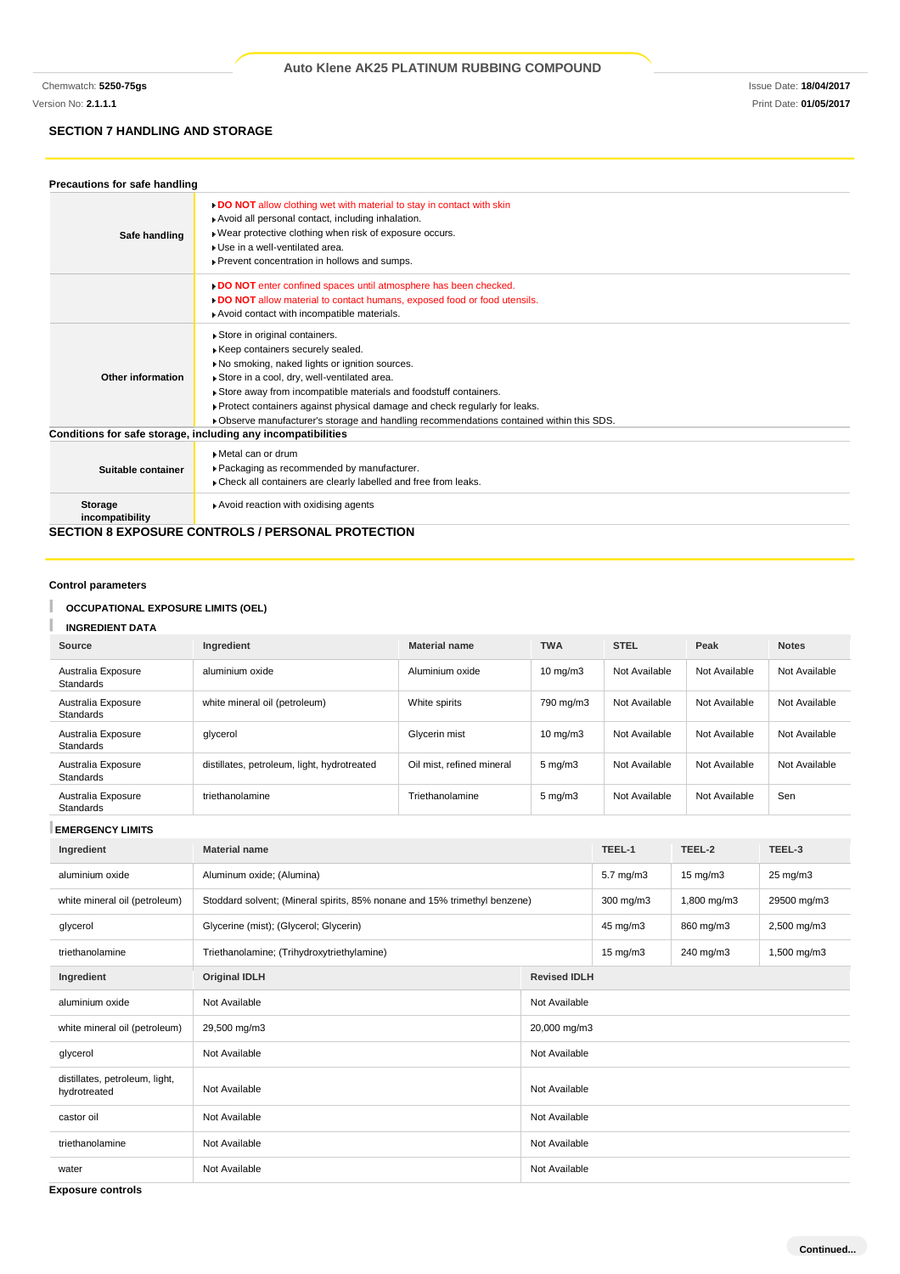Chemwatch: **5250-75gs** Issue Date: **18/04/2017**

### **SECTION 7 HANDLING AND STORAGE**

| Precautions for safe handling                                                                                                                                                                                                                                                           |                                                                                                                                                                                                                                                                                                                                                                                                                  |  |  |  |
|-----------------------------------------------------------------------------------------------------------------------------------------------------------------------------------------------------------------------------------------------------------------------------------------|------------------------------------------------------------------------------------------------------------------------------------------------------------------------------------------------------------------------------------------------------------------------------------------------------------------------------------------------------------------------------------------------------------------|--|--|--|
| DO NOT allow clothing wet with material to stay in contact with skin<br>Avoid all personal contact, including inhalation.<br>Wear protective clothing when risk of exposure occurs.<br>Safe handling<br>Use in a well-ventilated area.<br>▶ Prevent concentration in hollows and sumps. |                                                                                                                                                                                                                                                                                                                                                                                                                  |  |  |  |
|                                                                                                                                                                                                                                                                                         | DO NOT enter confined spaces until atmosphere has been checked.<br>DO NOT allow material to contact humans, exposed food or food utensils.<br>Avoid contact with incompatible materials.                                                                                                                                                                                                                         |  |  |  |
| Other information                                                                                                                                                                                                                                                                       | Store in original containers.<br>Keep containers securely sealed.<br>No smoking, naked lights or ignition sources.<br>Store in a cool, dry, well-ventilated area.<br>Store away from incompatible materials and foodstuff containers.<br>▶ Protect containers against physical damage and check regularly for leaks.<br>• Observe manufacturer's storage and handling recommendations contained within this SDS. |  |  |  |
|                                                                                                                                                                                                                                                                                         | Conditions for safe storage, including any incompatibilities                                                                                                                                                                                                                                                                                                                                                     |  |  |  |
| Suitable container                                                                                                                                                                                                                                                                      | Metal can or drum<br>▶ Packaging as recommended by manufacturer.<br>Check all containers are clearly labelled and free from leaks.                                                                                                                                                                                                                                                                               |  |  |  |
| <b>Storage</b><br>incompatibility                                                                                                                                                                                                                                                       | Avoid reaction with oxidising agents                                                                                                                                                                                                                                                                                                                                                                             |  |  |  |
|                                                                                                                                                                                                                                                                                         | <b>SECTION 8 EXPOSURE CONTROLS / PERSONAL PROTECTION</b>                                                                                                                                                                                                                                                                                                                                                         |  |  |  |

### **Control parameters**

#### T **OCCUPATIONAL EXPOSURE LIMITS (OEL)**

#### L **INGREDIENT DATA**

| Source                                 | Ingredient                                  | <b>Material name</b>      | <b>TWA</b>         | <b>STEL</b>   | Peak          | <b>Notes</b>  |
|----------------------------------------|---------------------------------------------|---------------------------|--------------------|---------------|---------------|---------------|
| Australia Exposure<br><b>Standards</b> | aluminium oxide                             | Aluminium oxide           | $10 \text{ mg/m}$  | Not Available | Not Available | Not Available |
| Australia Exposure<br><b>Standards</b> | white mineral oil (petroleum)               | White spirits             | 790 mg/m3          | Not Available | Not Available | Not Available |
| Australia Exposure<br><b>Standards</b> | glycerol                                    | Glycerin mist             | $10 \text{ mg/m}$  | Not Available | Not Available | Not Available |
| Australia Exposure<br><b>Standards</b> | distillates, petroleum, light, hydrotreated | Oil mist, refined mineral | $5 \text{ mg/m}$ 3 | Not Available | Not Available | Not Available |
| Australia Exposure<br><b>Standards</b> | triethanolamine                             | Triethanolamine           | $5 \text{ mg/m}$ 3 | Not Available | Not Available | Sen           |

**EMERGENCY LIMITS**

| Ingredient                                     | <b>Material name</b>                                                      | TEEL-1        | TEEL-2            | TEEL-3            |                     |  |
|------------------------------------------------|---------------------------------------------------------------------------|---------------|-------------------|-------------------|---------------------|--|
| aluminium oxide                                | Aluminum oxide; (Alumina)                                                 |               | $5.7$ mg/m $3$    | $15 \text{ mg/m}$ | $25 \text{ mg/m}$ 3 |  |
| white mineral oil (petroleum)                  | Stoddard solvent; (Mineral spirits, 85% nonane and 15% trimethyl benzene) |               | 300 mg/m3         | 1,800 mg/m3       | 29500 mg/m3         |  |
| glycerol                                       | Glycerine (mist); (Glycerol; Glycerin)                                    |               | 45 mg/m3          | 860 mg/m3         | 2,500 mg/m3         |  |
| triethanolamine                                | Triethanolamine; (Trihydroxytriethylamine)                                |               | $15 \text{ mg/m}$ | 240 mg/m3         | 1,500 mg/m3         |  |
| Ingredient                                     | <b>Original IDLH</b><br><b>Revised IDLH</b>                               |               |                   |                   |                     |  |
| aluminium oxide                                | Not Available<br>Not Available                                            |               |                   |                   |                     |  |
| white mineral oil (petroleum)                  | 29,500 mg/m3<br>20,000 mg/m3                                              |               |                   |                   |                     |  |
| glycerol                                       | Not Available<br>Not Available                                            |               |                   |                   |                     |  |
| distillates, petroleum, light,<br>hydrotreated | Not Available                                                             | Not Available |                   |                   |                     |  |
| castor oil                                     | Not Available                                                             | Not Available |                   |                   |                     |  |
| triethanolamine                                | Not Available<br>Not Available                                            |               |                   |                   |                     |  |
| water                                          | Not Available                                                             | Not Available |                   |                   |                     |  |

**Exposure controls**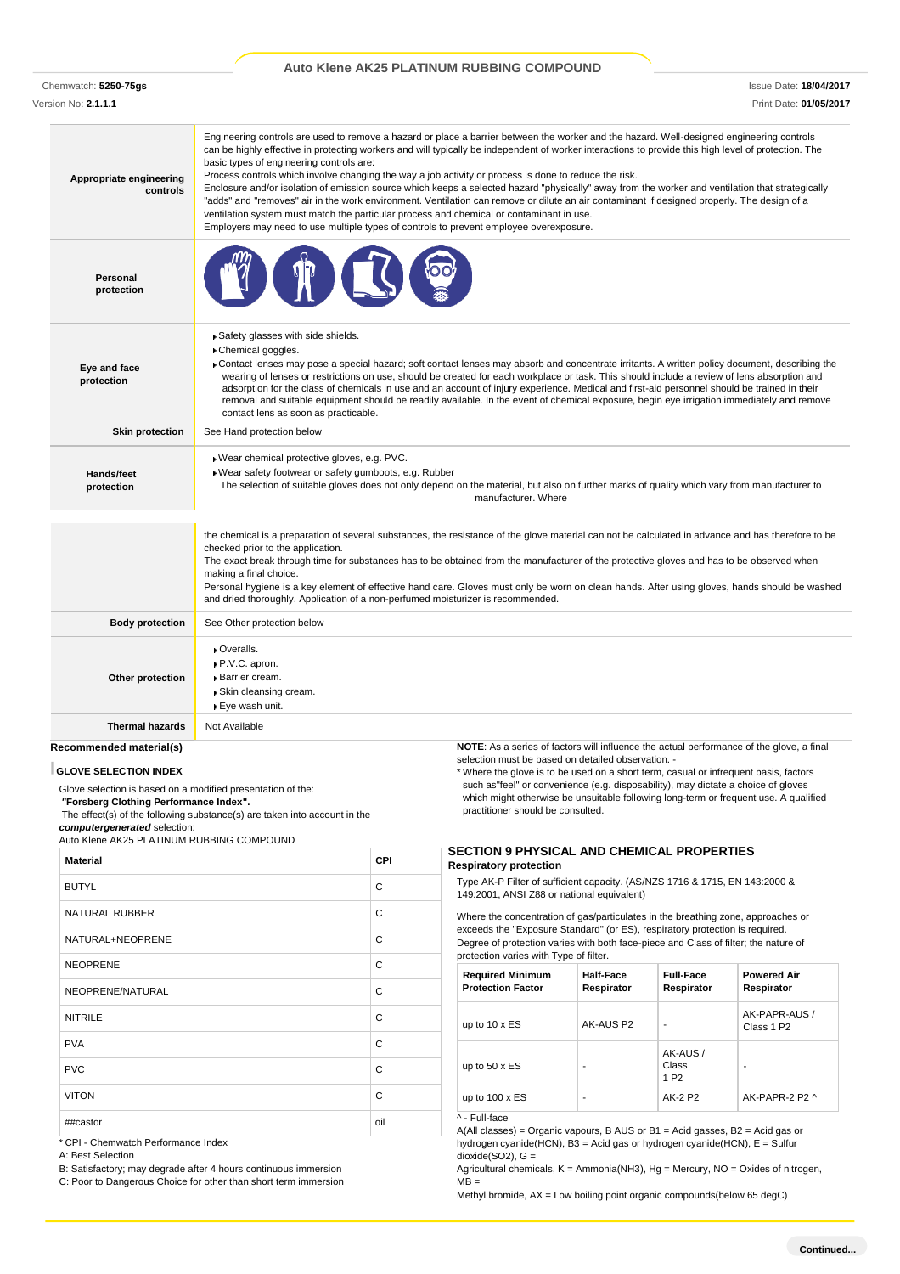Chemwatch: **5250-75gs** Issue Date: **18/04/2017** Version No: **2.1.1.1** Print Date: **01/05/2017**

| Appropriate engineering<br>controls                                                                                                                                                                                                           | Engineering controls are used to remove a hazard or place a barrier between the worker and the hazard. Well-designed engineering controls<br>can be highly effective in protecting workers and will typically be independent of worker interactions to provide this high level of protection. The<br>basic types of engineering controls are:<br>Process controls which involve changing the way a job activity or process is done to reduce the risk.<br>Enclosure and/or isolation of emission source which keeps a selected hazard "physically" away from the worker and ventilation that strategically<br>"adds" and "removes" air in the work environment. Ventilation can remove or dilute an air contaminant if designed properly. The design of a<br>ventilation system must match the particular process and chemical or contaminant in use.<br>Employers may need to use multiple types of controls to prevent employee overexposure. |  |                                                                                                                                                                                                                                                                                                                                                                                                                                                          |  |  |
|-----------------------------------------------------------------------------------------------------------------------------------------------------------------------------------------------------------------------------------------------|-------------------------------------------------------------------------------------------------------------------------------------------------------------------------------------------------------------------------------------------------------------------------------------------------------------------------------------------------------------------------------------------------------------------------------------------------------------------------------------------------------------------------------------------------------------------------------------------------------------------------------------------------------------------------------------------------------------------------------------------------------------------------------------------------------------------------------------------------------------------------------------------------------------------------------------------------|--|----------------------------------------------------------------------------------------------------------------------------------------------------------------------------------------------------------------------------------------------------------------------------------------------------------------------------------------------------------------------------------------------------------------------------------------------------------|--|--|
| Personal<br>protection                                                                                                                                                                                                                        |                                                                                                                                                                                                                                                                                                                                                                                                                                                                                                                                                                                                                                                                                                                                                                                                                                                                                                                                                 |  |                                                                                                                                                                                                                                                                                                                                                                                                                                                          |  |  |
| Eye and face<br>protection                                                                                                                                                                                                                    | Safety glasses with side shields.<br>Chemical goggles.<br>• Contact lenses may pose a special hazard; soft contact lenses may absorb and concentrate irritants. A written policy document, describing the<br>wearing of lenses or restrictions on use, should be created for each workplace or task. This should include a review of lens absorption and<br>adsorption for the class of chemicals in use and an account of injury experience. Medical and first-aid personnel should be trained in their<br>removal and suitable equipment should be readily available. In the event of chemical exposure, begin eye irrigation immediately and remove<br>contact lens as soon as practicable.                                                                                                                                                                                                                                                  |  |                                                                                                                                                                                                                                                                                                                                                                                                                                                          |  |  |
| <b>Skin protection</b>                                                                                                                                                                                                                        | See Hand protection below                                                                                                                                                                                                                                                                                                                                                                                                                                                                                                                                                                                                                                                                                                                                                                                                                                                                                                                       |  |                                                                                                                                                                                                                                                                                                                                                                                                                                                          |  |  |
| Hands/feet<br>protection                                                                                                                                                                                                                      | ▶ Wear chemical protective gloves, e.g. PVC.<br>Wear safety footwear or safety gumboots, e.g. Rubber<br>The selection of suitable gloves does not only depend on the material, but also on further marks of quality which vary from manufacturer to<br>manufacturer. Where                                                                                                                                                                                                                                                                                                                                                                                                                                                                                                                                                                                                                                                                      |  |                                                                                                                                                                                                                                                                                                                                                                                                                                                          |  |  |
|                                                                                                                                                                                                                                               | checked prior to the application.<br>making a final choice.<br>and dried thoroughly. Application of a non-perfumed moisturizer is recommended.                                                                                                                                                                                                                                                                                                                                                                                                                                                                                                                                                                                                                                                                                                                                                                                                  |  | the chemical is a preparation of several substances, the resistance of the glove material can not be calculated in advance and has therefore to be<br>The exact break through time for substances has to be obtained from the manufacturer of the protective gloves and has to be observed when<br>Personal hygiene is a key element of effective hand care. Gloves must only be worn on clean hands. After using gloves, hands should be washed         |  |  |
| <b>Body protection</b>                                                                                                                                                                                                                        | See Other protection below                                                                                                                                                                                                                                                                                                                                                                                                                                                                                                                                                                                                                                                                                                                                                                                                                                                                                                                      |  |                                                                                                                                                                                                                                                                                                                                                                                                                                                          |  |  |
| Other protection                                                                                                                                                                                                                              | Overalls.<br>▶ P.V.C. apron.<br><b>Barrier</b> cream.<br>Skin cleansing cream.<br>▶ Eye wash unit.                                                                                                                                                                                                                                                                                                                                                                                                                                                                                                                                                                                                                                                                                                                                                                                                                                              |  |                                                                                                                                                                                                                                                                                                                                                                                                                                                          |  |  |
| <b>Thermal hazards</b>                                                                                                                                                                                                                        | Not Available                                                                                                                                                                                                                                                                                                                                                                                                                                                                                                                                                                                                                                                                                                                                                                                                                                                                                                                                   |  |                                                                                                                                                                                                                                                                                                                                                                                                                                                          |  |  |
| Recommended material(s)<br><b>GLOVE SELECTION INDEX</b><br>Glove selection is based on a modified presentation of the:<br>"Forsberg Clothing Performance Index".<br>computergenerated selection:<br>Auto Klene AK25 PLATINUM RUBBING COMPOUND | The effect(s) of the following substance(s) are taken into account in the                                                                                                                                                                                                                                                                                                                                                                                                                                                                                                                                                                                                                                                                                                                                                                                                                                                                       |  | NOTE: As a series of factors will influence the actual performance of the glove, a final<br>selection must be based on detailed observation. -<br>* Where the glove is to be used on a short term, casual or infrequent basis, factors<br>such as"feel" or convenience (e.g. disposability), may dictate a choice of gloves<br>which might otherwise be unsuitable following long-term or frequent use. A qualified<br>practitioner should be consulted. |  |  |
| CPI<br><b>Material</b>                                                                                                                                                                                                                        |                                                                                                                                                                                                                                                                                                                                                                                                                                                                                                                                                                                                                                                                                                                                                                                                                                                                                                                                                 |  | <b>SECTION 9 PHYSICAL AND CHEMICAL PROPERTIES</b><br><b>Respiratory protection</b>                                                                                                                                                                                                                                                                                                                                                                       |  |  |

Type AK-P Filter of sufficient capacity. (AS/NZS 1716 & 1715, EN 143:2000 & 149:2001, ANSI Z88 or national equivalent)

Where the concentration of gas/particulates in the breathing zone, approaches or exceeds the "Exposure Standard" (or ES), respiratory protection is required. Degree of protection varies with both face-piece and Class of filter; the nature of protection varies with Type of filter.

| <b>Required Minimum</b><br><b>Protection Factor</b> | <b>Half-Face</b><br>Respirator | <b>Full-Face</b><br>Respirator       | <b>Powered Air</b><br>Respirator        |
|-----------------------------------------------------|--------------------------------|--------------------------------------|-----------------------------------------|
| up to $10 \times ES$                                | AK-AUS P2                      |                                      | AK-PAPR-AUS /<br>Class 1 P <sub>2</sub> |
| up to $50 \times ES$                                |                                | AK-AUS/<br>Class<br>1 P <sub>2</sub> | ۰                                       |
| up to $100 \times ES$                               | ۰                              | AK-2 P2                              | AK-PAPR-2 P2 ^                          |

^ - Full-face

A(All classes) = Organic vapours, B AUS or B1 = Acid gasses, B2 = Acid gas or hydrogen cyanide(HCN), B3 = Acid gas or hydrogen cyanide(HCN), E = Sulfur  $divide(SO2)$ ,  $G =$ 

Agricultural chemicals, K = Ammonia(NH3), Hg = Mercury, NO = Oxides of nitrogen,  $\overrightarrow{MB}$  =

Methyl bromide, AX = Low boiling point organic compounds(below 65 degC)

NATURAL RUBBER COMPANY OF THE SERIES AND LOCAL CONTRACT OF THE SERIES OF THE SERIES OF THE SERIES OF THE SERIES OF THE SERIES OF THE SERIES OF THE SERIES OF THE SERIES OF THE SERIES OF THE SERIES OF THE SERIES OF THE SERIE

| NATURAL+NEOPRENE | C   |
|------------------|-----|
| <b>NEOPRENE</b>  | C   |
| NEOPRENE/NATURAL | C   |
| <b>NITRILE</b>   | C   |
| <b>PVA</b>       | C   |
| <b>PVC</b>       | C   |
| <b>VITON</b>     | C   |
| ##castor         | oil |

BUTYL CONTROL CONTROL CONTROL CONTROL CONTROL CONTROL CONTROL CONTROL CONTROL CONTROL CONTROL CONTROL CONTROL CONTROL CONTROL CONTROL CONTROL CONTROL CONTROL CONTROL CONTROL CONTROL CONTROL CONTROL CONTROL CONTROL CONTROL

\* CPI - Chemwatch Performance Index

A: Best Selection

B: Satisfactory; may degrade after 4 hours continuous immersion

C: Poor to Dangerous Choice for other than short term immersion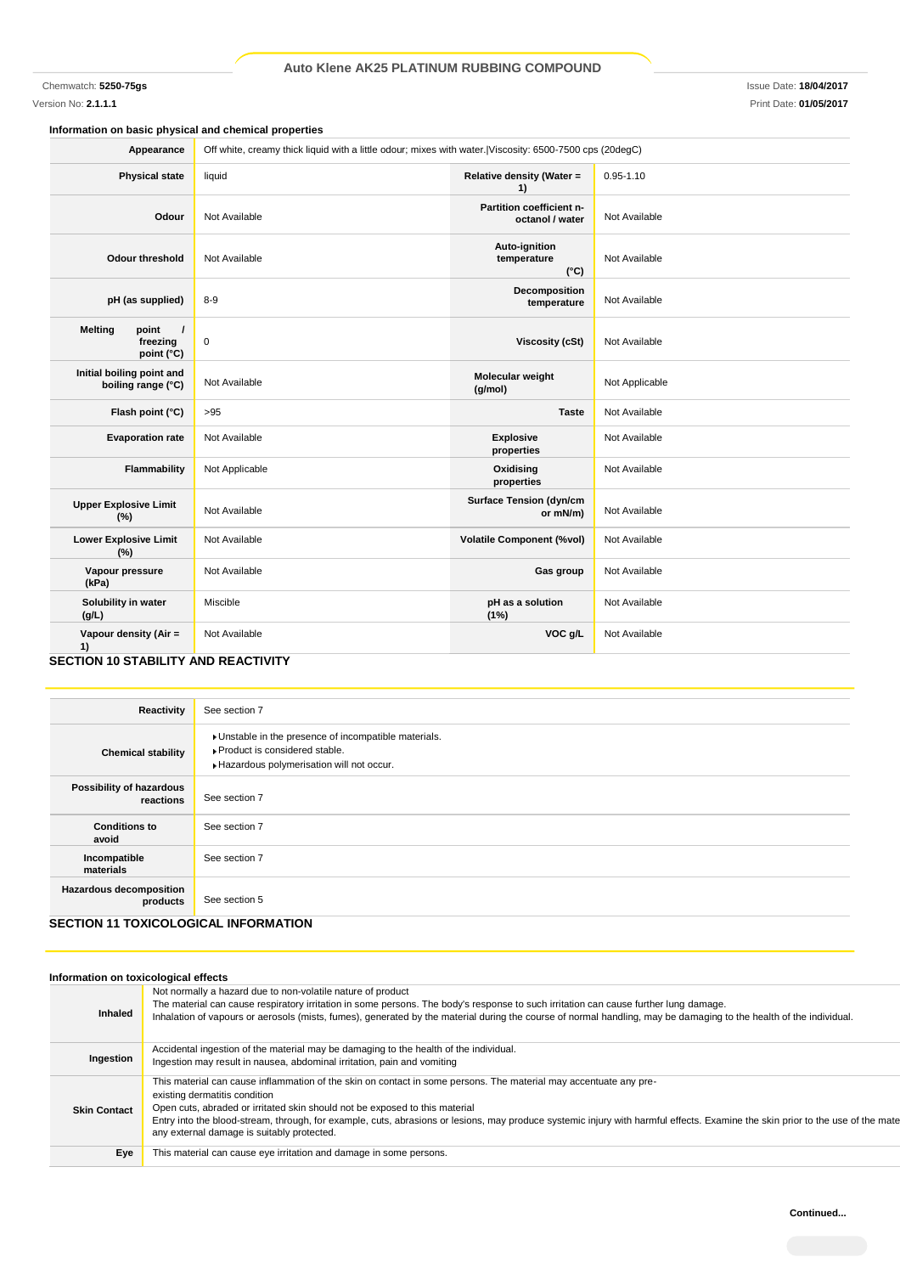Chemwatch: **5250-75gs** Issue Date: **18/04/2017**

Version No: **2.1.1.1** Print Date: **01/05/2017**

#### **Information on basic physical and chemical properties** Appearance **Off white, creamy thick liquid with a little odour; mixes with water.|Viscosity: 6500-7500 cps (20degC) Physical state a** liquid **Relative density (Water = Relative density (Water = 1)** 0.95-1.10 **Odour** Not Available **Partition coefficient noctanol / water** Not Available **Odour threshold** Not Available **Auto-ignition temperature (°C)** Not Available **pH** (as supplied) 8-9 **Decomposition temperature** Not Available **Melting point / freezing point (°C)** 0 **Viscosity (cSt)** Not Available **Initial boiling point and boiling point and set of Available Molecular weight <b>Molecular weight Molecular weight Molecular weight (g/mol) (g/mol)** Not Applicable **Flash point (°C)** >95 **Taste** Not Available **Evaporation rate** Not Available **Explosive Explosive properties** Not Available **Flammability** Not Applicable **Constanting Constanting Constanting Constanting Constanting Constanting Constanting Constanting Constanting Constanting Constanting Constanting Constanting Constanting Constanting Constanting properties** Not Available **Upper Explosive Limit Not Available Surface Tension (dyn/cm or mN/m)** Not Available **Lower Explosive Limit (%)** Not Available **Volatile Component (%vol)** Not Available **Vapour pressure (kPa)** Not Available **Gas group** Not Available **Solubility in water**  Miscible **pH as a solution**  Not Available

### **SECTION 10 STABILITY AND REACTIVITY**

**(g/L)**

**1)**

**Vapour density (Air =** 

| Reactivity                                  | See section 7                                                                                                                      |
|---------------------------------------------|------------------------------------------------------------------------------------------------------------------------------------|
| <b>Chemical stability</b>                   | Unstable in the presence of incompatible materials.<br>▶ Product is considered stable.<br>Hazardous polymerisation will not occur. |
| Possibility of hazardous<br>reactions       | See section 7                                                                                                                      |
| <b>Conditions to</b><br>avoid               | See section 7                                                                                                                      |
| Incompatible<br>materials                   | See section 7                                                                                                                      |
| <b>Hazardous decomposition</b><br>products  | See section 5                                                                                                                      |
| <b>SECTION 11 TOXICOLOGICAL INFORMATION</b> |                                                                                                                                    |

Not Available **VOC g/L** Not Available

**(1%)**

### **Information on toxicological effects**

| information on toxicological effects |                                                                                                                                                                                                                                                                                                                                                                                                                                                                   |
|--------------------------------------|-------------------------------------------------------------------------------------------------------------------------------------------------------------------------------------------------------------------------------------------------------------------------------------------------------------------------------------------------------------------------------------------------------------------------------------------------------------------|
| Inhaled                              | Not normally a hazard due to non-volatile nature of product<br>The material can cause respiratory irritation in some persons. The body's response to such irritation can cause further lung damage.<br>Inhalation of vapours or aerosols (mists, fumes), generated by the material during the course of normal handling, may be damaging to the health of the individual.                                                                                         |
| Ingestion                            | Accidental ingestion of the material may be damaging to the health of the individual.<br>Ingestion may result in nausea, abdominal irritation, pain and vomiting                                                                                                                                                                                                                                                                                                  |
| <b>Skin Contact</b>                  | This material can cause inflammation of the skin on contact in some persons. The material may accentuate any pre-<br>existing dermatitis condition<br>Open cuts, abraded or irritated skin should not be exposed to this material<br>Entry into the blood-stream, through, for example, cuts, abrasions or lesions, may produce systemic injury with harmful effects. Examine the skin prior to the use of the mate<br>any external damage is suitably protected. |
| Eye                                  | This material can cause eye irritation and damage in some persons.                                                                                                                                                                                                                                                                                                                                                                                                |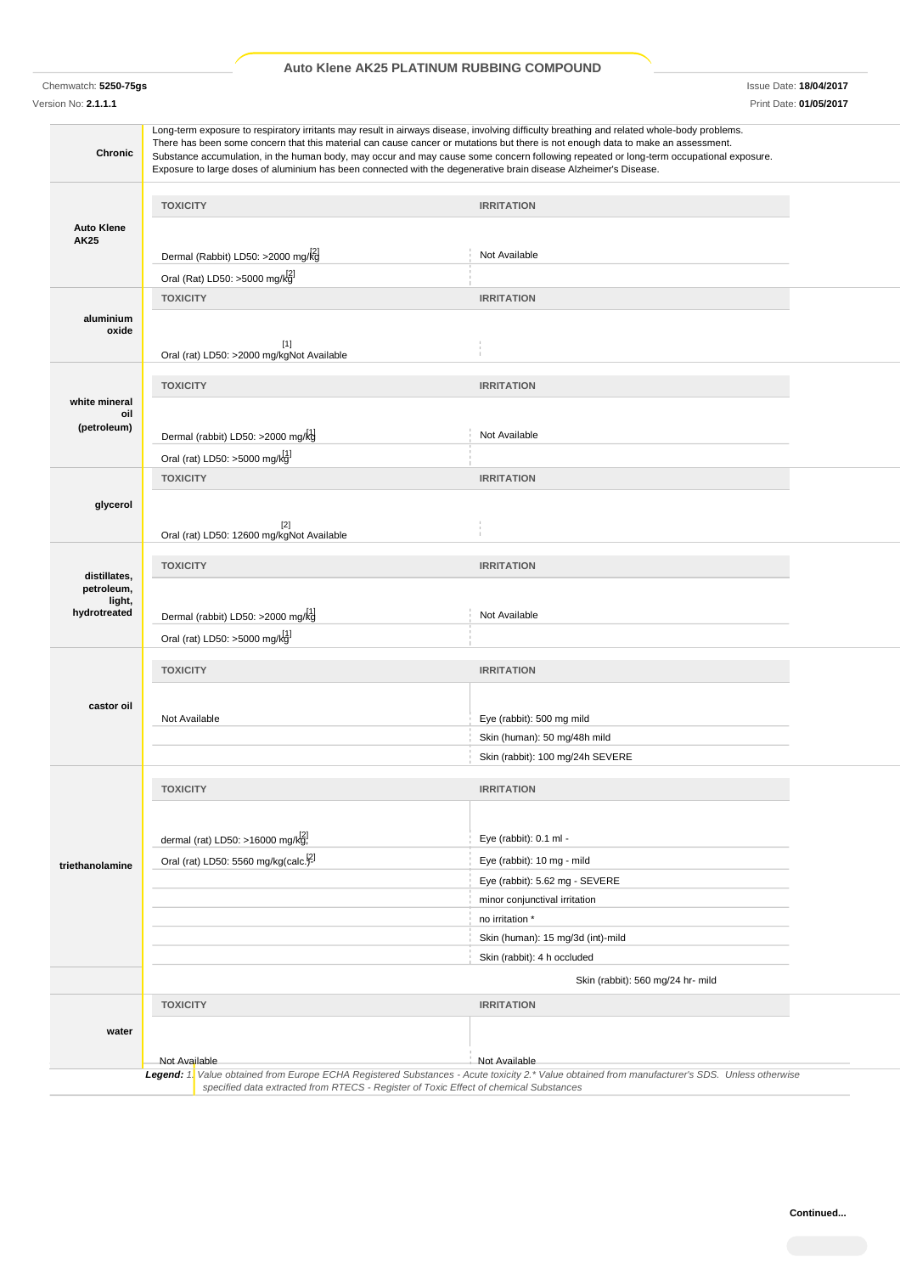Chemwatch: **5250-75gs** Issue Date: **18/04/2017**

Version No: **2.1.1.1** Print Date: **01/05/2017**

| <b>Chronic</b>                   | Long-term exposure to respiratory irritants may result in airways disease, involving difficulty breathing and related whole-body problems.<br>There has been some concern that this material can cause cancer or mutations but there is not enough data to make an assessment.<br>Substance accumulation, in the human body, may occur and may cause some concern following repeated or long-term occupational exposure.<br>Exposure to large doses of aluminium has been connected with the degenerative brain disease Alzheimer's Disease. |                                                                                                                                                                 |  |
|----------------------------------|----------------------------------------------------------------------------------------------------------------------------------------------------------------------------------------------------------------------------------------------------------------------------------------------------------------------------------------------------------------------------------------------------------------------------------------------------------------------------------------------------------------------------------------------|-----------------------------------------------------------------------------------------------------------------------------------------------------------------|--|
|                                  | <b>TOXICITY</b>                                                                                                                                                                                                                                                                                                                                                                                                                                                                                                                              | <b>IRRITATION</b>                                                                                                                                               |  |
| <b>Auto Klene</b><br><b>AK25</b> |                                                                                                                                                                                                                                                                                                                                                                                                                                                                                                                                              |                                                                                                                                                                 |  |
|                                  | Dermal (Rabbit) LD50: >2000 mg/kg                                                                                                                                                                                                                                                                                                                                                                                                                                                                                                            | Not Available                                                                                                                                                   |  |
|                                  | Oral (Rat) LD50: >5000 mg/kg]                                                                                                                                                                                                                                                                                                                                                                                                                                                                                                                |                                                                                                                                                                 |  |
|                                  | <b>TOXICITY</b>                                                                                                                                                                                                                                                                                                                                                                                                                                                                                                                              | <b>IRRITATION</b>                                                                                                                                               |  |
| aluminium<br>oxide               | $[1]$                                                                                                                                                                                                                                                                                                                                                                                                                                                                                                                                        |                                                                                                                                                                 |  |
|                                  | Oral (rat) LD50: >2000 mg/kgNot Available                                                                                                                                                                                                                                                                                                                                                                                                                                                                                                    |                                                                                                                                                                 |  |
|                                  | <b>TOXICITY</b>                                                                                                                                                                                                                                                                                                                                                                                                                                                                                                                              | <b>IRRITATION</b>                                                                                                                                               |  |
| white mineral                    |                                                                                                                                                                                                                                                                                                                                                                                                                                                                                                                                              |                                                                                                                                                                 |  |
| oil<br>(petroleum)               | Dermal (rabbit) LD50: >2000 mg/kg                                                                                                                                                                                                                                                                                                                                                                                                                                                                                                            | Not Available                                                                                                                                                   |  |
|                                  | Oral (rat) LD50: >5000 mg/kg]                                                                                                                                                                                                                                                                                                                                                                                                                                                                                                                |                                                                                                                                                                 |  |
|                                  | <b>TOXICITY</b>                                                                                                                                                                                                                                                                                                                                                                                                                                                                                                                              | <b>IRRITATION</b>                                                                                                                                               |  |
|                                  |                                                                                                                                                                                                                                                                                                                                                                                                                                                                                                                                              |                                                                                                                                                                 |  |
| glycerol                         |                                                                                                                                                                                                                                                                                                                                                                                                                                                                                                                                              |                                                                                                                                                                 |  |
|                                  | $[2]$<br>Oral (rat) LD50: 12600 mg/kgNot Available                                                                                                                                                                                                                                                                                                                                                                                                                                                                                           |                                                                                                                                                                 |  |
|                                  | <b>TOXICITY</b>                                                                                                                                                                                                                                                                                                                                                                                                                                                                                                                              | <b>IRRITATION</b>                                                                                                                                               |  |
| distillates,<br>petroleum,       |                                                                                                                                                                                                                                                                                                                                                                                                                                                                                                                                              |                                                                                                                                                                 |  |
| light,                           |                                                                                                                                                                                                                                                                                                                                                                                                                                                                                                                                              |                                                                                                                                                                 |  |
| hydrotreated                     | Dermal (rabbit) LD50: >2000 mg/kg                                                                                                                                                                                                                                                                                                                                                                                                                                                                                                            | Not Available                                                                                                                                                   |  |
|                                  | Oral (rat) LD50: >5000 mg/kgl                                                                                                                                                                                                                                                                                                                                                                                                                                                                                                                |                                                                                                                                                                 |  |
|                                  | <b>TOXICITY</b>                                                                                                                                                                                                                                                                                                                                                                                                                                                                                                                              | <b>IRRITATION</b>                                                                                                                                               |  |
|                                  |                                                                                                                                                                                                                                                                                                                                                                                                                                                                                                                                              |                                                                                                                                                                 |  |
| castor oil                       | Not Available                                                                                                                                                                                                                                                                                                                                                                                                                                                                                                                                | Eye (rabbit): 500 mg mild                                                                                                                                       |  |
|                                  |                                                                                                                                                                                                                                                                                                                                                                                                                                                                                                                                              | Skin (human): 50 mg/48h mild                                                                                                                                    |  |
|                                  |                                                                                                                                                                                                                                                                                                                                                                                                                                                                                                                                              | Skin (rabbit): 100 mg/24h SEVERE                                                                                                                                |  |
|                                  |                                                                                                                                                                                                                                                                                                                                                                                                                                                                                                                                              |                                                                                                                                                                 |  |
|                                  | <b>TOXICITY</b>                                                                                                                                                                                                                                                                                                                                                                                                                                                                                                                              | <b>IRRITATION</b>                                                                                                                                               |  |
|                                  |                                                                                                                                                                                                                                                                                                                                                                                                                                                                                                                                              |                                                                                                                                                                 |  |
|                                  | dermal (rat) LD50: >16000 mg/kg,                                                                                                                                                                                                                                                                                                                                                                                                                                                                                                             | Eye (rabbit): 0.1 ml -                                                                                                                                          |  |
| triethanolamine                  | Oral (rat) LD50: 5560 mg/kg(calc.) <sup>[2]</sup>                                                                                                                                                                                                                                                                                                                                                                                                                                                                                            | Eye (rabbit): 10 mg - mild                                                                                                                                      |  |
|                                  |                                                                                                                                                                                                                                                                                                                                                                                                                                                                                                                                              | Eye (rabbit): 5.62 mg - SEVERE                                                                                                                                  |  |
|                                  |                                                                                                                                                                                                                                                                                                                                                                                                                                                                                                                                              | minor conjunctival irritation<br>no irritation *                                                                                                                |  |
|                                  |                                                                                                                                                                                                                                                                                                                                                                                                                                                                                                                                              | Skin (human): 15 mg/3d (int)-mild                                                                                                                               |  |
|                                  |                                                                                                                                                                                                                                                                                                                                                                                                                                                                                                                                              | Skin (rabbit): 4 h occluded                                                                                                                                     |  |
|                                  |                                                                                                                                                                                                                                                                                                                                                                                                                                                                                                                                              | Skin (rabbit): 560 mg/24 hr- mild                                                                                                                               |  |
|                                  | <b>TOXICITY</b>                                                                                                                                                                                                                                                                                                                                                                                                                                                                                                                              | <b>IRRITATION</b>                                                                                                                                               |  |
| water                            |                                                                                                                                                                                                                                                                                                                                                                                                                                                                                                                                              |                                                                                                                                                                 |  |
|                                  |                                                                                                                                                                                                                                                                                                                                                                                                                                                                                                                                              |                                                                                                                                                                 |  |
|                                  | Not Available                                                                                                                                                                                                                                                                                                                                                                                                                                                                                                                                | Not Available<br>Legend: 1. Value obtained from Europe ECHA Registered Substances - Acute toxicity 2.* Value obtained from manufacturer's SDS. Unless otherwise |  |
|                                  |                                                                                                                                                                                                                                                                                                                                                                                                                                                                                                                                              | specified data extracted from RTECS - Register of Toxic Effect of chemical Substances                                                                           |  |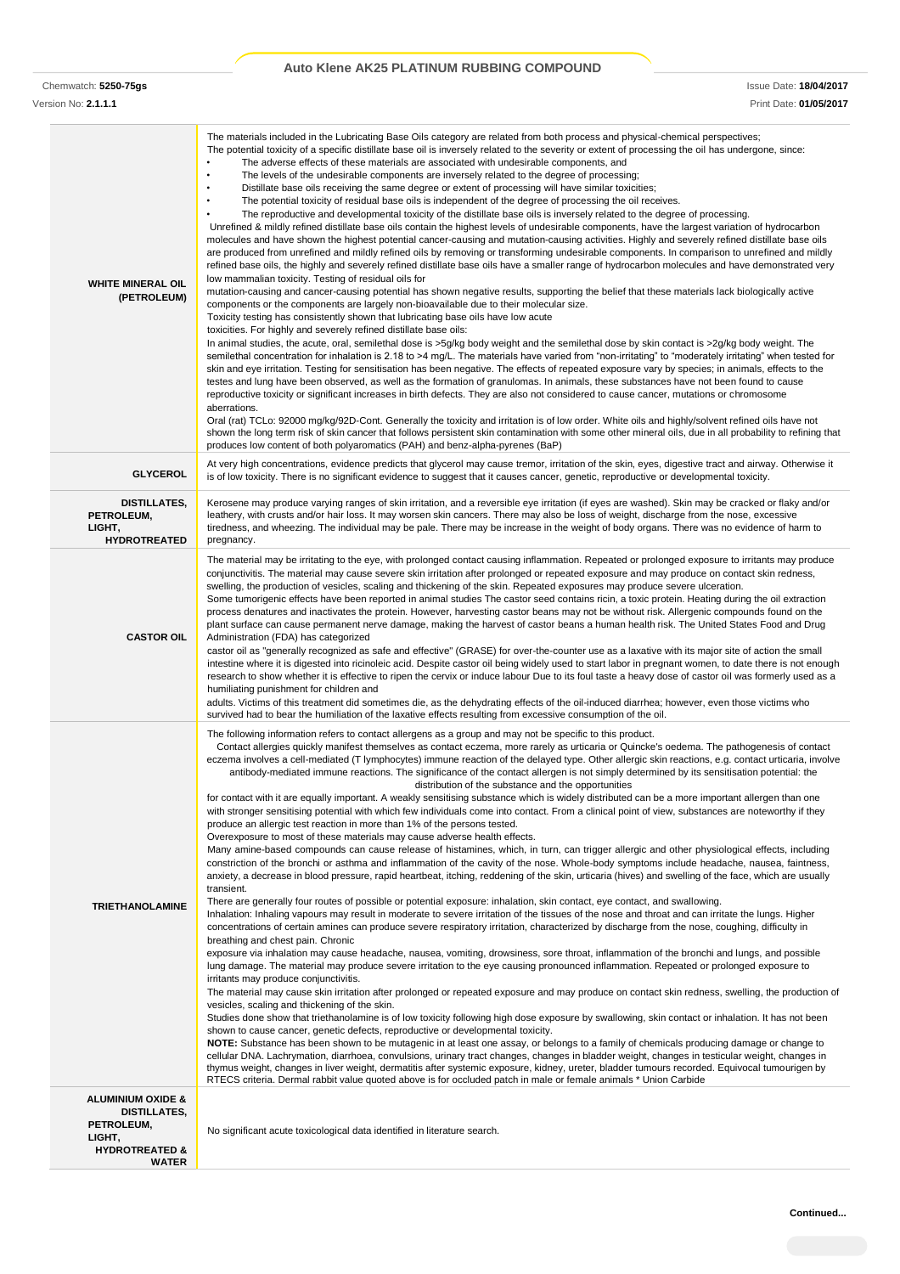Chemwatch: **5250-75gs** Issue Date: **18/04/2017**

Version No: **2.1.1.1** Print Date: **01/05/2017**

| <b>WHITE MINERAL OIL</b><br>(PETROLEUM)                                                                                  | The materials included in the Lubricating Base Oils category are related from both process and physical-chemical perspectives;<br>The potential toxicity of a specific distillate base oil is inversely related to the severity or extent of processing the oil has undergone, since:<br>The adverse effects of these materials are associated with undesirable components, and<br>The levels of the undesirable components are inversely related to the degree of processing;<br>٠<br>Distillate base oils receiving the same degree or extent of processing will have similar toxicities;<br>٠<br>The potential toxicity of residual base oils is independent of the degree of processing the oil receives.<br>٠<br>The reproductive and developmental toxicity of the distillate base oils is inversely related to the degree of processing.<br>Unrefined & mildly refined distillate base oils contain the highest levels of undesirable components, have the largest variation of hydrocarbon<br>molecules and have shown the highest potential cancer-causing and mutation-causing activities. Highly and severely refined distillate base oils<br>are produced from unrefined and mildly refined oils by removing or transforming undesirable components. In comparison to unrefined and mildly<br>refined base oils, the highly and severely refined distillate base oils have a smaller range of hydrocarbon molecules and have demonstrated very<br>low mammalian toxicity. Testing of residual oils for<br>mutation-causing and cancer-causing potential has shown negative results, supporting the belief that these materials lack biologically active<br>components or the components are largely non-bioavailable due to their molecular size.<br>Toxicity testing has consistently shown that lubricating base oils have low acute<br>toxicities. For highly and severely refined distillate base oils:<br>In animal studies, the acute, oral, semilethal dose is >5g/kg body weight and the semilethal dose by skin contact is >2g/kg body weight. The<br>semilethal concentration for inhalation is 2.18 to >4 mg/L. The materials have varied from "non-irritating" to "moderately irritating" when tested for<br>skin and eye irritation. Testing for sensitisation has been negative. The effects of repeated exposure vary by species; in animals, effects to the<br>testes and lung have been observed, as well as the formation of granulomas. In animals, these substances have not been found to cause<br>reproductive toxicity or significant increases in birth defects. They are also not considered to cause cancer, mutations or chromosome<br>aberrations.<br>Oral (rat) TCLo: 92000 mg/kg/92D-Cont. Generally the toxicity and irritation is of low order. White oils and highly/solvent refined oils have not<br>shown the long term risk of skin cancer that follows persistent skin contamination with some other mineral oils, due in all probability to refining that<br>produces low content of both polyaromatics (PAH) and benz-alpha-pyrenes (BaP)                                                                                                                                                                                                                                                                                    |
|--------------------------------------------------------------------------------------------------------------------------|---------------------------------------------------------------------------------------------------------------------------------------------------------------------------------------------------------------------------------------------------------------------------------------------------------------------------------------------------------------------------------------------------------------------------------------------------------------------------------------------------------------------------------------------------------------------------------------------------------------------------------------------------------------------------------------------------------------------------------------------------------------------------------------------------------------------------------------------------------------------------------------------------------------------------------------------------------------------------------------------------------------------------------------------------------------------------------------------------------------------------------------------------------------------------------------------------------------------------------------------------------------------------------------------------------------------------------------------------------------------------------------------------------------------------------------------------------------------------------------------------------------------------------------------------------------------------------------------------------------------------------------------------------------------------------------------------------------------------------------------------------------------------------------------------------------------------------------------------------------------------------------------------------------------------------------------------------------------------------------------------------------------------------------------------------------------------------------------------------------------------------------------------------------------------------------------------------------------------------------------------------------------------------------------------------------------------------------------------------------------------------------------------------------------------------------------------------------------------------------------------------------------------------------------------------------------------------------------------------------------------------------------------------------------------------------------------------------------------------------------------------------------------------------------------------------------------------------------------------------------------------------------------------------------------------------------------------------------------------------------------------------------------------------------------------------------------------------------------------------------------------------------------------------------------------------------------------------------------------------------------------------------------------------------------------------------------------------------------------------------------------|
| <b>GLYCEROL</b>                                                                                                          | At very high concentrations, evidence predicts that glycerol may cause tremor, irritation of the skin, eyes, digestive tract and airway. Otherwise it<br>is of low toxicity. There is no significant evidence to suggest that it causes cancer, genetic, reproductive or developmental toxicity.                                                                                                                                                                                                                                                                                                                                                                                                                                                                                                                                                                                                                                                                                                                                                                                                                                                                                                                                                                                                                                                                                                                                                                                                                                                                                                                                                                                                                                                                                                                                                                                                                                                                                                                                                                                                                                                                                                                                                                                                                                                                                                                                                                                                                                                                                                                                                                                                                                                                                                                                                                                                                                                                                                                                                                                                                                                                                                                                                                                                                                                                                |
| DISTILLATES,<br>PETROLEUM,<br>LIGHT,<br><b>HYDROTREATED</b>                                                              | Kerosene may produce varying ranges of skin irritation, and a reversible eye irritation (if eyes are washed). Skin may be cracked or flaky and/or<br>leathery, with crusts and/or hair loss. It may worsen skin cancers. There may also be loss of weight, discharge from the nose, excessive<br>tiredness, and wheezing. The individual may be pale. There may be increase in the weight of body organs. There was no evidence of harm to<br>pregnancy.                                                                                                                                                                                                                                                                                                                                                                                                                                                                                                                                                                                                                                                                                                                                                                                                                                                                                                                                                                                                                                                                                                                                                                                                                                                                                                                                                                                                                                                                                                                                                                                                                                                                                                                                                                                                                                                                                                                                                                                                                                                                                                                                                                                                                                                                                                                                                                                                                                                                                                                                                                                                                                                                                                                                                                                                                                                                                                                        |
| <b>CASTOR OIL</b>                                                                                                        | The material may be irritating to the eye, with prolonged contact causing inflammation. Repeated or prolonged exposure to irritants may produce<br>conjunctivitis. The material may cause severe skin irritation after prolonged or repeated exposure and may produce on contact skin redness,<br>swelling, the production of vesicles, scaling and thickening of the skin. Repeated exposures may produce severe ulceration.<br>Some tumorigenic effects have been reported in animal studies The castor seed contains ricin, a toxic protein. Heating during the oil extraction<br>process denatures and inactivates the protein. However, harvesting castor beans may not be without risk. Allergenic compounds found on the<br>plant surface can cause permanent nerve damage, making the harvest of castor beans a human health risk. The United States Food and Drug<br>Administration (FDA) has categorized<br>castor oil as "generally recognized as safe and effective" (GRASE) for over-the-counter use as a laxative with its major site of action the small<br>intestine where it is digested into ricinoleic acid. Despite castor oil being widely used to start labor in pregnant women, to date there is not enough<br>research to show whether it is effective to ripen the cervix or induce labour Due to its foul taste a heavy dose of castor oil was formerly used as a<br>humiliating punishment for children and<br>adults. Victims of this treatment did sometimes die, as the dehydrating effects of the oil-induced diarrhea; however, even those victims who<br>survived had to bear the humiliation of the laxative effects resulting from excessive consumption of the oil.                                                                                                                                                                                                                                                                                                                                                                                                                                                                                                                                                                                                                                                                                                                                                                                                                                                                                                                                                                                                                                                                                                                                                                                                                                                                                                                                                                                                                                                                                                                                                                                                                                                                         |
| <b>TRIETHANOLAMINE</b>                                                                                                   | The following information refers to contact allergens as a group and may not be specific to this product.<br>Contact allergies quickly manifest themselves as contact eczema, more rarely as urticaria or Quincke's oedema. The pathogenesis of contact<br>eczema involves a cell-mediated (T lymphocytes) immune reaction of the delayed type. Other allergic skin reactions, e.g. contact urticaria, involve<br>antibody-mediated immune reactions. The significance of the contact allergen is not simply determined by its sensitisation potential: the<br>distribution of the substance and the opportunities<br>for contact with it are equally important. A weakly sensitising substance which is widely distributed can be a more important allergen than one<br>with stronger sensitising potential with which few individuals come into contact. From a clinical point of view, substances are noteworthy if they<br>produce an allergic test reaction in more than 1% of the persons tested.<br>Overexposure to most of these materials may cause adverse health effects.<br>Many amine-based compounds can cause release of histamines, which, in turn, can trigger allergic and other physiological effects, including<br>constriction of the bronchi or asthma and inflammation of the cavity of the nose. Whole-body symptoms include headache, nausea, faintness,<br>anxiety, a decrease in blood pressure, rapid heartbeat, itching, reddening of the skin, urticaria (hives) and swelling of the face, which are usually<br>transient.<br>There are generally four routes of possible or potential exposure: inhalation, skin contact, eye contact, and swallowing.<br>Inhalation: Inhaling vapours may result in moderate to severe irritation of the tissues of the nose and throat and can irritate the lungs. Higher<br>concentrations of certain amines can produce severe respiratory irritation, characterized by discharge from the nose, coughing, difficulty in<br>breathing and chest pain. Chronic<br>exposure via inhalation may cause headache, nausea, vomiting, drowsiness, sore throat, inflammation of the bronchi and lungs, and possible<br>lung damage. The material may produce severe irritation to the eye causing pronounced inflammation. Repeated or prolonged exposure to<br>irritants may produce conjunctivitis.<br>The material may cause skin irritation after prolonged or repeated exposure and may produce on contact skin redness, swelling, the production of<br>vesicles, scaling and thickening of the skin.<br>Studies done show that triethanolamine is of low toxicity following high dose exposure by swallowing, skin contact or inhalation. It has not been<br>shown to cause cancer, genetic defects, reproductive or developmental toxicity.<br>NOTE: Substance has been shown to be mutagenic in at least one assay, or belongs to a family of chemicals producing damage or change to<br>cellular DNA. Lachrymation, diarrhoea, convulsions, urinary tract changes, changes in bladder weight, changes in testicular weight, changes in<br>thymus weight, changes in liver weight, dermatitis after systemic exposure, kidney, ureter, bladder tumours recorded. Equivocal tumourigen by<br>RTECS criteria. Dermal rabbit value quoted above is for occluded patch in male or female animals * Union Carbide |
| <b>ALUMINIUM OXIDE &amp;</b><br><b>DISTILLATES,</b><br>PETROLEUM,<br>LIGHT,<br><b>HYDROTREATED &amp;</b><br><b>WATER</b> | No significant acute toxicological data identified in literature search.                                                                                                                                                                                                                                                                                                                                                                                                                                                                                                                                                                                                                                                                                                                                                                                                                                                                                                                                                                                                                                                                                                                                                                                                                                                                                                                                                                                                                                                                                                                                                                                                                                                                                                                                                                                                                                                                                                                                                                                                                                                                                                                                                                                                                                                                                                                                                                                                                                                                                                                                                                                                                                                                                                                                                                                                                                                                                                                                                                                                                                                                                                                                                                                                                                                                                                        |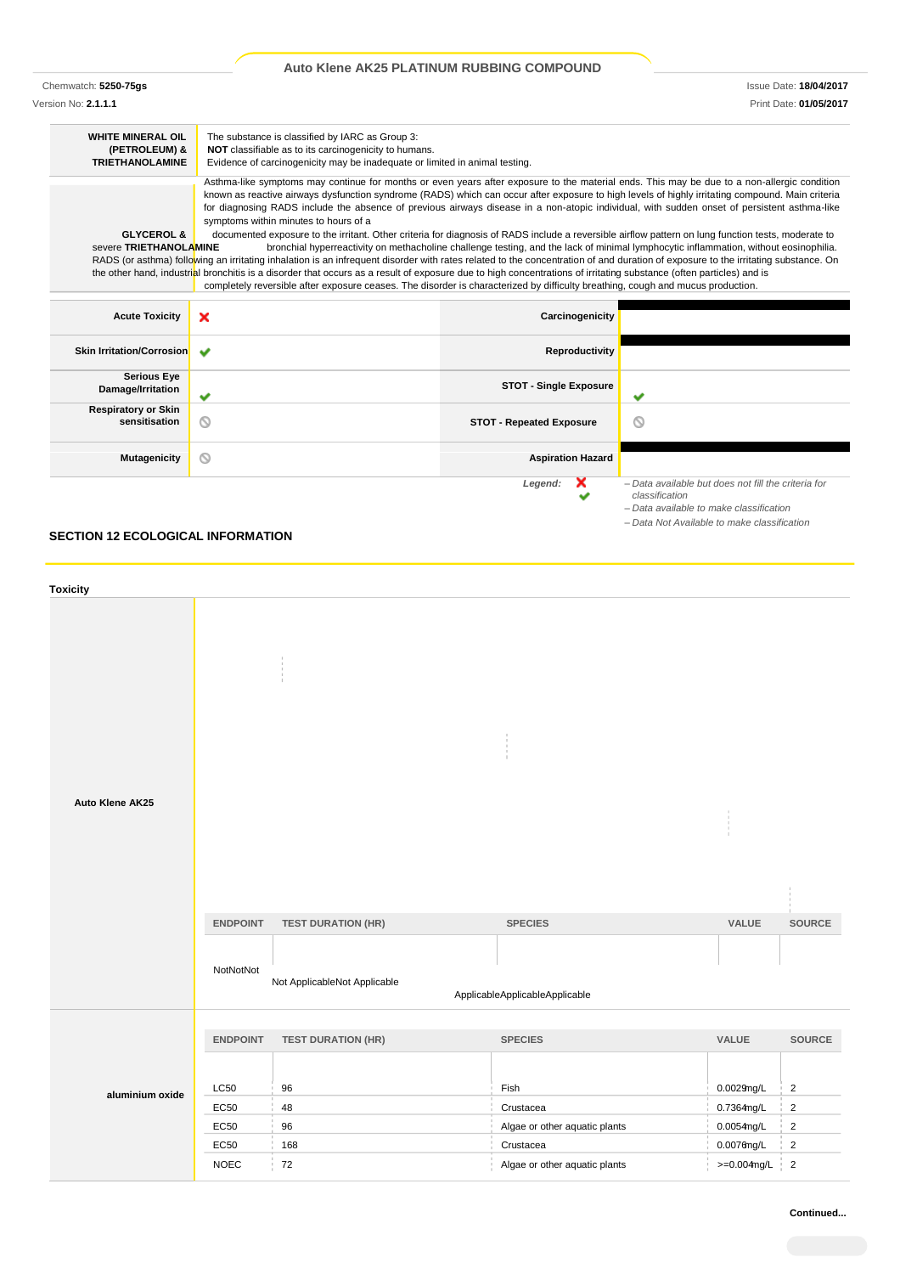|                                                                     |                                                                                                                                                                                                                                                                                                                                                                                                                                                                                                                                                                                                                                                                                                                                                                                                                                                                                                                                                                                                                                                                                                                                              | Auto Klene AK25 PLATINUM RUBBING COMPOUND |                                                                                                                                      |
|---------------------------------------------------------------------|----------------------------------------------------------------------------------------------------------------------------------------------------------------------------------------------------------------------------------------------------------------------------------------------------------------------------------------------------------------------------------------------------------------------------------------------------------------------------------------------------------------------------------------------------------------------------------------------------------------------------------------------------------------------------------------------------------------------------------------------------------------------------------------------------------------------------------------------------------------------------------------------------------------------------------------------------------------------------------------------------------------------------------------------------------------------------------------------------------------------------------------------|-------------------------------------------|--------------------------------------------------------------------------------------------------------------------------------------|
| Chemwatch: 5250-75gs                                                |                                                                                                                                                                                                                                                                                                                                                                                                                                                                                                                                                                                                                                                                                                                                                                                                                                                                                                                                                                                                                                                                                                                                              |                                           | <b>Issue Date: 18/04/2017</b>                                                                                                        |
| Version No: 2.1.1.1                                                 |                                                                                                                                                                                                                                                                                                                                                                                                                                                                                                                                                                                                                                                                                                                                                                                                                                                                                                                                                                                                                                                                                                                                              |                                           | Print Date: 01/05/2017                                                                                                               |
| <b>WHITE MINERAL OIL</b><br>(PETROLEUM) &<br><b>TRIETHANOLAMINE</b> | The substance is classified by IARC as Group 3:<br>NOT classifiable as to its carcinogenicity to humans.<br>Evidence of carcinogenicity may be inadequate or limited in animal testing.                                                                                                                                                                                                                                                                                                                                                                                                                                                                                                                                                                                                                                                                                                                                                                                                                                                                                                                                                      |                                           |                                                                                                                                      |
| <b>GLYCEROL &amp;</b><br>severe TRIETHANOLAMINE                     | Asthma-like symptoms may continue for months or even years after exposure to the material ends. This may be due to a non-allergic condition<br>known as reactive airways dysfunction syndrome (RADS) which can occur after exposure to high levels of highly irritating compound. Main criteria<br>for diagnosing RADS include the absence of previous airways disease in a non-atopic individual, with sudden onset of persistent asthma-like<br>symptoms within minutes to hours of a<br>documented exposure to the irritant. Other criteria for diagnosis of RADS include a reversible airflow pattern on lung function tests, moderate to<br>RADS (or asthma) following an irritating inhalation is an infrequent disorder with rates related to the concentration of and duration of exposure to the irritating substance. On<br>the other hand, industrial bronchitis is a disorder that occurs as a result of exposure due to high concentrations of irritating substance (often particles) and is<br>completely reversible after exposure ceases. The disorder is characterized by difficulty breathing, cough and mucus production. |                                           | bronchial hyperreactivity on methacholine challenge testing, and the lack of minimal lymphocytic inflammation, without eosinophilia. |
| <b>Acute Toxicity</b>                                               | ×                                                                                                                                                                                                                                                                                                                                                                                                                                                                                                                                                                                                                                                                                                                                                                                                                                                                                                                                                                                                                                                                                                                                            | Carcinogenicity                           |                                                                                                                                      |
| <b>Skin Irritation/Corrosion</b>                                    | $\checkmark$                                                                                                                                                                                                                                                                                                                                                                                                                                                                                                                                                                                                                                                                                                                                                                                                                                                                                                                                                                                                                                                                                                                                 | <b>Reproductivity</b>                     |                                                                                                                                      |
| <b>Serious Eye</b><br>Damage/Irritation                             | ◡                                                                                                                                                                                                                                                                                                                                                                                                                                                                                                                                                                                                                                                                                                                                                                                                                                                                                                                                                                                                                                                                                                                                            | <b>STOT - Single Exposure</b>             |                                                                                                                                      |
| <b>Respiratory or Skin</b><br>sensitisation                         | ⊚                                                                                                                                                                                                                                                                                                                                                                                                                                                                                                                                                                                                                                                                                                                                                                                                                                                                                                                                                                                                                                                                                                                                            | <b>STOT - Repeated Exposure</b>           | ல                                                                                                                                    |
| <b>Mutagenicity</b>                                                 | ◎                                                                                                                                                                                                                                                                                                                                                                                                                                                                                                                                                                                                                                                                                                                                                                                                                                                                                                                                                                                                                                                                                                                                            | <b>Aspiration Hazard</b>                  |                                                                                                                                      |
|                                                                     |                                                                                                                                                                                                                                                                                                                                                                                                                                                                                                                                                                                                                                                                                                                                                                                                                                                                                                                                                                                                                                                                                                                                              | Legend:                                   | - Data available but does not fill the criteria for<br>classification                                                                |

*– Data available to make classification – Data Not Available to make classification*

## **SECTION 12 ECOLOGICAL INFORMATION**

| <b>Toxicity</b> |                 |                              |                                |                |                |
|-----------------|-----------------|------------------------------|--------------------------------|----------------|----------------|
|                 |                 |                              |                                |                |                |
|                 |                 |                              |                                |                |                |
| Auto Klene AK25 |                 |                              |                                |                |                |
|                 | <b>ENDPOINT</b> | <b>TEST DURATION (HR)</b>    | <b>SPECIES</b>                 | VALUE          | SOURCE         |
|                 | NotNotNot       | Not ApplicableNot Applicable | ApplicableApplicableApplicable |                |                |
|                 | <b>ENDPOINT</b> | <b>TEST DURATION (HR)</b>    | <b>SPECIES</b>                 | VALUE          | SOURCE         |
| aluminium oxide | <b>LC50</b>     | 96                           | Fish                           | 0.0029mg/L     | $\overline{2}$ |
|                 | EC50            | 48                           | Crustacea                      | 0.7364mg/L     | $\mathbf 2$    |
|                 | EC50            | 96                           | Algae or other aquatic plants  | $0.0054$ mg/L  | $\sqrt{2}$     |
|                 | EC50            | 168                          | Crustacea                      | $0.0076$ ng/L  | $\overline{2}$ |
|                 | <b>NOEC</b>     | 72                           | Algae or other aquatic plants  | $>=0.004$ mg/L | $\sqrt{2}$     |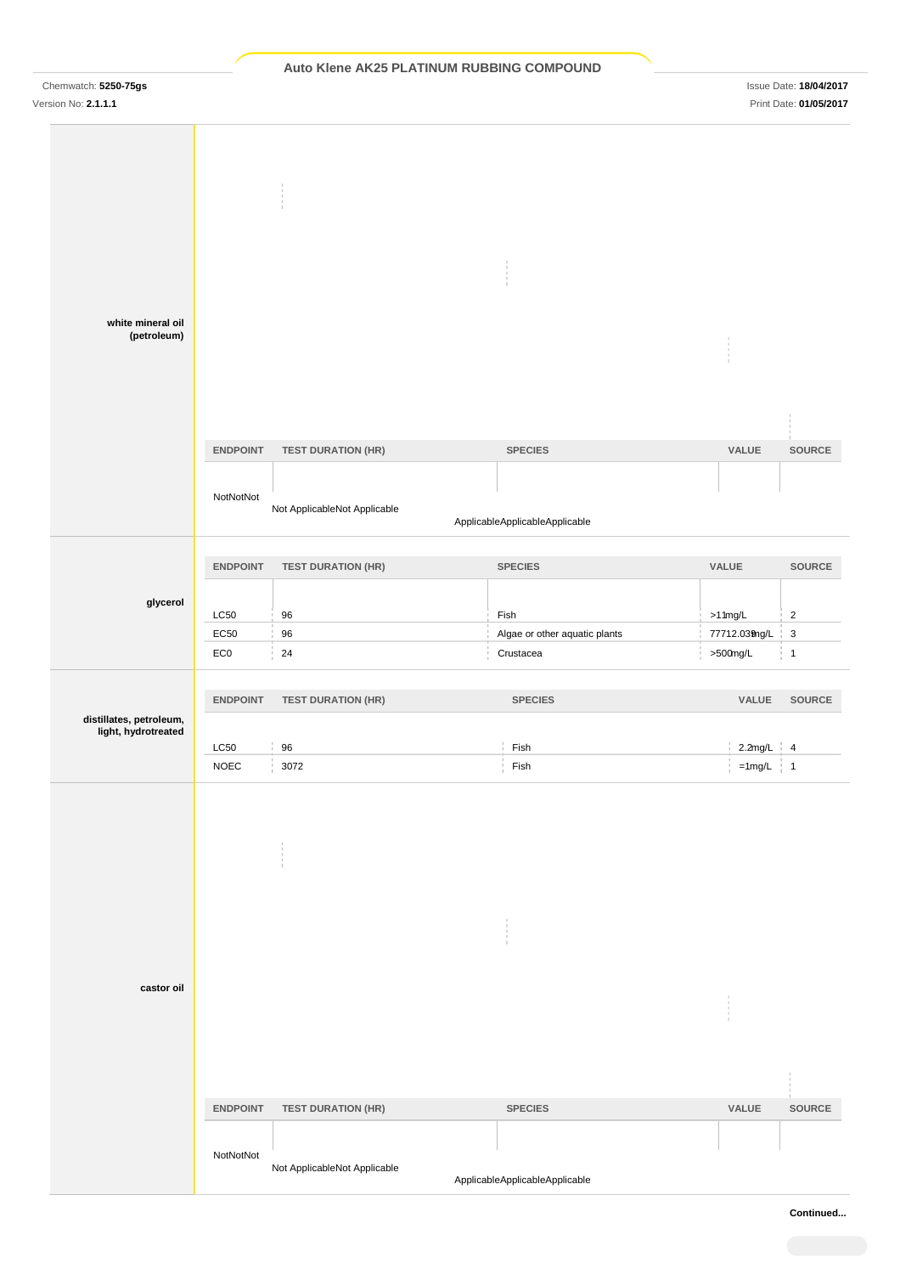Chemwatch: **5250-75gs** Issue Date: **18/04/2017** Version No: **2.1.1.1** Print Date: **01/05/2017**

| white mineral oil       |                 |                              |                                |                            |                           |
|-------------------------|-----------------|------------------------------|--------------------------------|----------------------------|---------------------------|
| (petroleum)             |                 |                              |                                |                            |                           |
|                         |                 |                              |                                |                            |                           |
|                         |                 |                              |                                |                            |                           |
|                         |                 |                              |                                |                            |                           |
|                         |                 |                              |                                |                            |                           |
|                         |                 |                              |                                |                            |                           |
|                         |                 |                              |                                |                            |                           |
|                         | <b>ENDPOINT</b> | <b>TEST DURATION (HR)</b>    | <b>SPECIES</b>                 | VALUE                      | SOURCE                    |
|                         |                 |                              |                                |                            |                           |
|                         |                 |                              |                                |                            |                           |
|                         | NotNotNot       |                              |                                |                            |                           |
|                         |                 | Not ApplicableNot Applicable | ApplicableApplicableApplicable |                            |                           |
|                         |                 |                              |                                |                            |                           |
|                         |                 |                              |                                |                            |                           |
|                         | <b>ENDPOINT</b> | <b>TEST DURATION (HR)</b>    | <b>SPECIES</b>                 | VALUE                      | SOURCE                    |
|                         |                 |                              |                                |                            |                           |
| glycerol                |                 |                              |                                |                            |                           |
|                         | LC50            | $96\,$                       | Fish                           | $>11$ mg/L                 | $\overline{2}$            |
|                         | EC50            | 96                           | Algae or other aquatic plants  | 77712.039ng/L              | $\ensuremath{\mathsf{3}}$ |
|                         | EC <sub>0</sub> | 24                           | Crustacea                      | $>500$ mg/L                | $\overline{\phantom{a}}$  |
|                         |                 |                              |                                |                            |                           |
|                         |                 |                              |                                |                            |                           |
|                         | <b>ENDPOINT</b> | <b>TEST DURATION (HR)</b>    | <b>SPECIES</b>                 | VALUE                      | SOURCE                    |
| distillates, petroleum, |                 |                              |                                |                            |                           |
| light, hydrotreated     |                 |                              |                                |                            |                           |
|                         | LC50            | $96\,$                       | Fish                           | $2.2$ mg/L $\frac{1}{2}$ 4 |                           |
|                         | <b>NOEC</b>     | 3072                         | Fish                           | $=1$ mg/L   1              |                           |
|                         |                 |                              |                                |                            |                           |
|                         |                 |                              |                                |                            |                           |
|                         |                 |                              |                                |                            |                           |
|                         |                 |                              |                                |                            |                           |
|                         |                 |                              |                                |                            |                           |
|                         |                 |                              |                                |                            |                           |
|                         |                 |                              |                                |                            |                           |
|                         |                 |                              |                                |                            |                           |
|                         |                 |                              |                                |                            |                           |
|                         |                 |                              |                                |                            |                           |
|                         |                 |                              |                                |                            |                           |
|                         |                 |                              |                                |                            |                           |
|                         |                 |                              |                                |                            |                           |
| castor oil              |                 |                              |                                |                            |                           |
|                         |                 |                              |                                |                            |                           |
|                         |                 |                              |                                |                            |                           |
|                         |                 |                              |                                |                            |                           |
|                         |                 |                              |                                |                            |                           |
|                         |                 |                              |                                |                            |                           |
|                         |                 |                              |                                |                            |                           |
|                         |                 |                              |                                |                            |                           |
|                         | <b>ENDPOINT</b> | <b>TEST DURATION (HR)</b>    | <b>SPECIES</b>                 | VALUE                      | SOURCE                    |
|                         |                 |                              |                                |                            |                           |
|                         |                 |                              |                                |                            |                           |
|                         | NotNotNot       |                              |                                |                            |                           |
|                         |                 |                              |                                |                            |                           |
|                         |                 | Not ApplicableNot Applicable | ApplicableApplicableApplicable |                            |                           |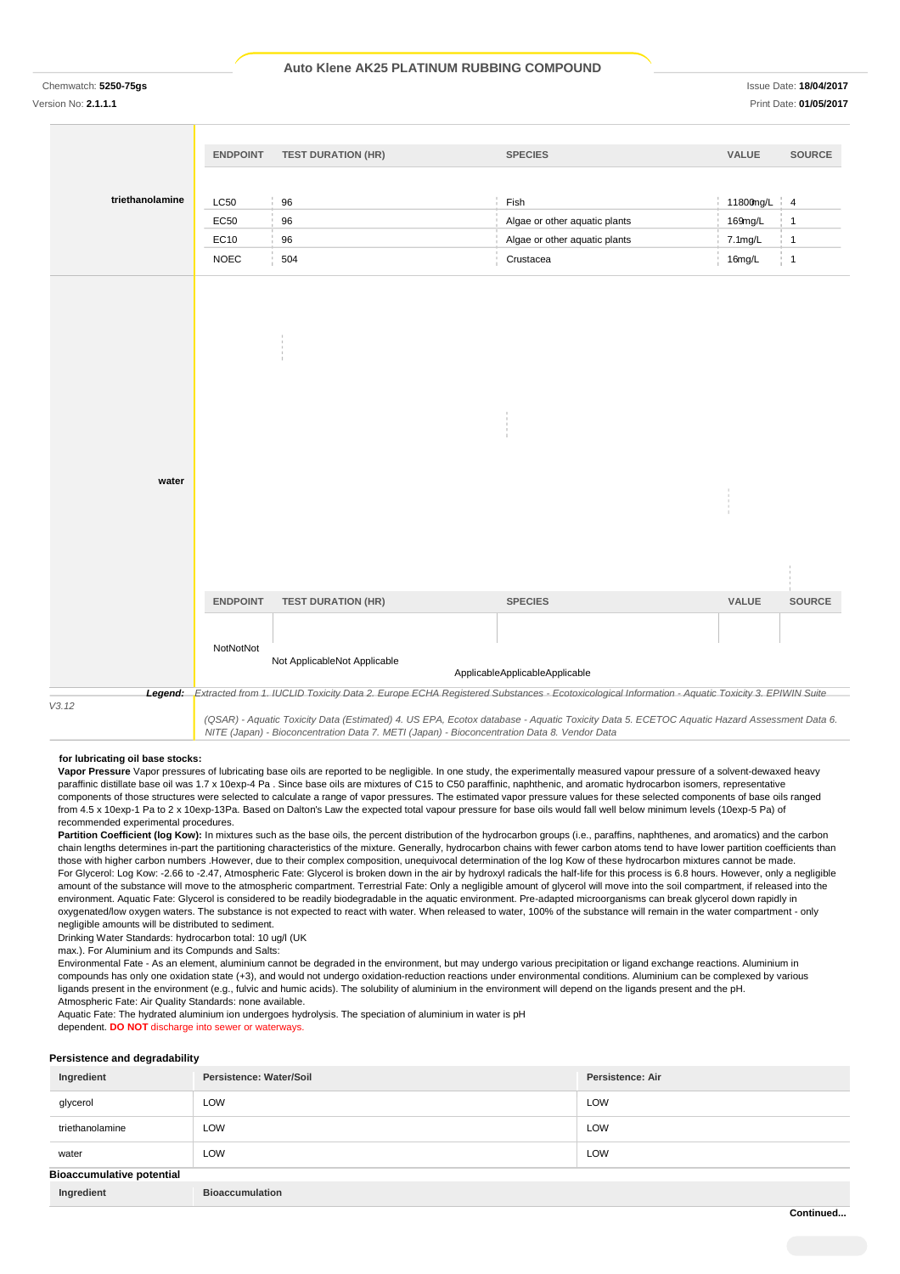Chemwatch: **5250-75gs** Issue Date: **18/04/2017** Version No: **2.1.1.1** Print Date: **01/05/2017**

|                 | <b>ENDPOINT</b>                                                                                                                                                                                                                          | <b>TEST DURATION (HR)</b>    | <b>SPECIES</b>                                                                                                                                         | VALUE     | SOURCE          |
|-----------------|------------------------------------------------------------------------------------------------------------------------------------------------------------------------------------------------------------------------------------------|------------------------------|--------------------------------------------------------------------------------------------------------------------------------------------------------|-----------|-----------------|
|                 |                                                                                                                                                                                                                                          |                              |                                                                                                                                                        |           |                 |
| triethanolamine | <b>LC50</b>                                                                                                                                                                                                                              | 96                           | Fish                                                                                                                                                   | 11800mg/L | $\frac{1}{2}$ 4 |
|                 | EC50                                                                                                                                                                                                                                     | 96                           | Algae or other aquatic plants                                                                                                                          | 169mg/L   | $\mathbf{1}$    |
|                 | EC10                                                                                                                                                                                                                                     | 96                           | Algae or other aquatic plants                                                                                                                          | 7.1mg/L   | $\overline{1}$  |
|                 | <b>NOEC</b>                                                                                                                                                                                                                              | 504                          | Crustacea                                                                                                                                              | 16mg/L    | $\mathbf{1}$    |
|                 |                                                                                                                                                                                                                                          |                              |                                                                                                                                                        |           |                 |
|                 |                                                                                                                                                                                                                                          |                              |                                                                                                                                                        |           |                 |
|                 |                                                                                                                                                                                                                                          |                              |                                                                                                                                                        |           |                 |
|                 |                                                                                                                                                                                                                                          |                              |                                                                                                                                                        |           |                 |
|                 |                                                                                                                                                                                                                                          |                              |                                                                                                                                                        |           |                 |
|                 |                                                                                                                                                                                                                                          |                              |                                                                                                                                                        |           |                 |
|                 |                                                                                                                                                                                                                                          |                              |                                                                                                                                                        |           |                 |
|                 |                                                                                                                                                                                                                                          |                              |                                                                                                                                                        |           |                 |
|                 |                                                                                                                                                                                                                                          |                              |                                                                                                                                                        |           |                 |
|                 |                                                                                                                                                                                                                                          |                              |                                                                                                                                                        |           |                 |
| water           |                                                                                                                                                                                                                                          |                              |                                                                                                                                                        |           |                 |
|                 |                                                                                                                                                                                                                                          |                              |                                                                                                                                                        |           |                 |
|                 |                                                                                                                                                                                                                                          |                              |                                                                                                                                                        |           |                 |
|                 |                                                                                                                                                                                                                                          |                              |                                                                                                                                                        |           |                 |
|                 |                                                                                                                                                                                                                                          |                              |                                                                                                                                                        |           |                 |
|                 |                                                                                                                                                                                                                                          |                              |                                                                                                                                                        |           |                 |
|                 | <b>ENDPOINT</b>                                                                                                                                                                                                                          | <b>TEST DURATION (HR)</b>    | <b>SPECIES</b>                                                                                                                                         | VALUE     | <b>SOURCE</b>   |
|                 |                                                                                                                                                                                                                                          |                              |                                                                                                                                                        |           |                 |
|                 | NotNotNot                                                                                                                                                                                                                                |                              |                                                                                                                                                        |           |                 |
|                 |                                                                                                                                                                                                                                          | Not ApplicableNot Applicable |                                                                                                                                                        |           |                 |
|                 |                                                                                                                                                                                                                                          |                              | ApplicableApplicableApplicable                                                                                                                         |           |                 |
| V3.12           |                                                                                                                                                                                                                                          |                              | Legend: Extracted from 1. IUCLID Toxicity Data 2. Europe ECHA Registered Substances - Ecotoxicological Information - Aquatic Toxicity 3. EPIWIN Suite- |           |                 |
|                 | (QSAR) - Aquatic Toxicity Data (Estimated) 4. US EPA, Ecotox database - Aquatic Toxicity Data 5. ECETOC Aquatic Hazard Assessment Data 6.<br>NITE (Japan) - Bioconcentration Data 7. METI (Japan) - Bioconcentration Data 8. Vendor Data |                              |                                                                                                                                                        |           |                 |
|                 |                                                                                                                                                                                                                                          |                              |                                                                                                                                                        |           |                 |

### **for lubricating oil base stocks:**

**Vapor Pressure** Vapor pressures of lubricating base oils are reported to be negligible. In one study, the experimentally measured vapour pressure of a solvent-dewaxed heavy paraffinic distillate base oil was 1.7 x 10exp-4 Pa . Since base oils are mixtures of C15 to C50 paraffinic, naphthenic, and aromatic hydrocarbon isomers, representative components of those structures were selected to calculate a range of vapor pressures. The estimated vapor pressure values for these selected components of base oils ranged from 4.5 x 10exp-1 Pa to 2 x 10exp-13Pa. Based on Dalton's Law the expected total vapour pressure for base oils would fall well below minimum levels (10exp-5 Pa) of recommended experimental procedures.

Partition Coefficient (log Kow): In mixtures such as the base oils, the percent distribution of the hydrocarbon groups (i.e., paraffins, naphthenes, and aromatics) and the carbon chain lengths determines in-part the partitioning characteristics of the mixture. Generally, hydrocarbon chains with fewer carbon atoms tend to have lower partition coefficients than those with higher carbon numbers .However, due to their complex composition, unequivocal determination of the log Kow of these hydrocarbon mixtures cannot be made. For Glycerol: Log Kow: -2.66 to -2.47, Atmospheric Fate: Glycerol is broken down in the air by hydroxyl radicals the half-life for this process is 6.8 hours. However, only a negligible amount of the substance will move to the atmospheric compartment. Terrestrial Fate: Only a negligible amount of glycerol will move into the soil compartment, if released into the environment. Aquatic Fate: Glycerol is considered to be readily biodegradable in the aquatic environment. Pre-adapted microorganisms can break glycerol down rapidly in oxygenated/low oxygen waters. The substance is not expected to react with water. When released to water, 100% of the substance will remain in the water compartment - only negligible amounts will be distributed to sediment.

Drinking Water Standards: hydrocarbon total: 10 ug/l (UK

max.). For Aluminium and its Compunds and Salts:

Environmental Fate - As an element, aluminium cannot be degraded in the environment, but may undergo various precipitation or ligand exchange reactions. Aluminium in compounds has only one oxidation state (+3), and would not undergo oxidation-reduction reactions under environmental conditions. Aluminium can be complexed by various ligands present in the environment (e.g., fulvic and humic acids). The solubility of aluminium in the environment will depend on the ligands present and the pH. Atmospheric Fate: Air Quality Standards: none available.

Aquatic Fate: The hydrated aluminium ion undergoes hydrolysis. The speciation of aluminium in water is pH

dependent. **DO NOT** discharge into sewer or waterways.

### **Persistence and degradability**

| Ingredient                       | Persistence: Water/Soil | <b>Persistence: Air</b> |  |  |
|----------------------------------|-------------------------|-------------------------|--|--|
| glycerol                         | LOW                     | LOW                     |  |  |
| triethanolamine                  | LOW                     | LOW                     |  |  |
| water                            | LOW                     | LOW                     |  |  |
| <b>Bioaccumulative potential</b> |                         |                         |  |  |
| Ingredient                       | <b>Bioaccumulation</b>  |                         |  |  |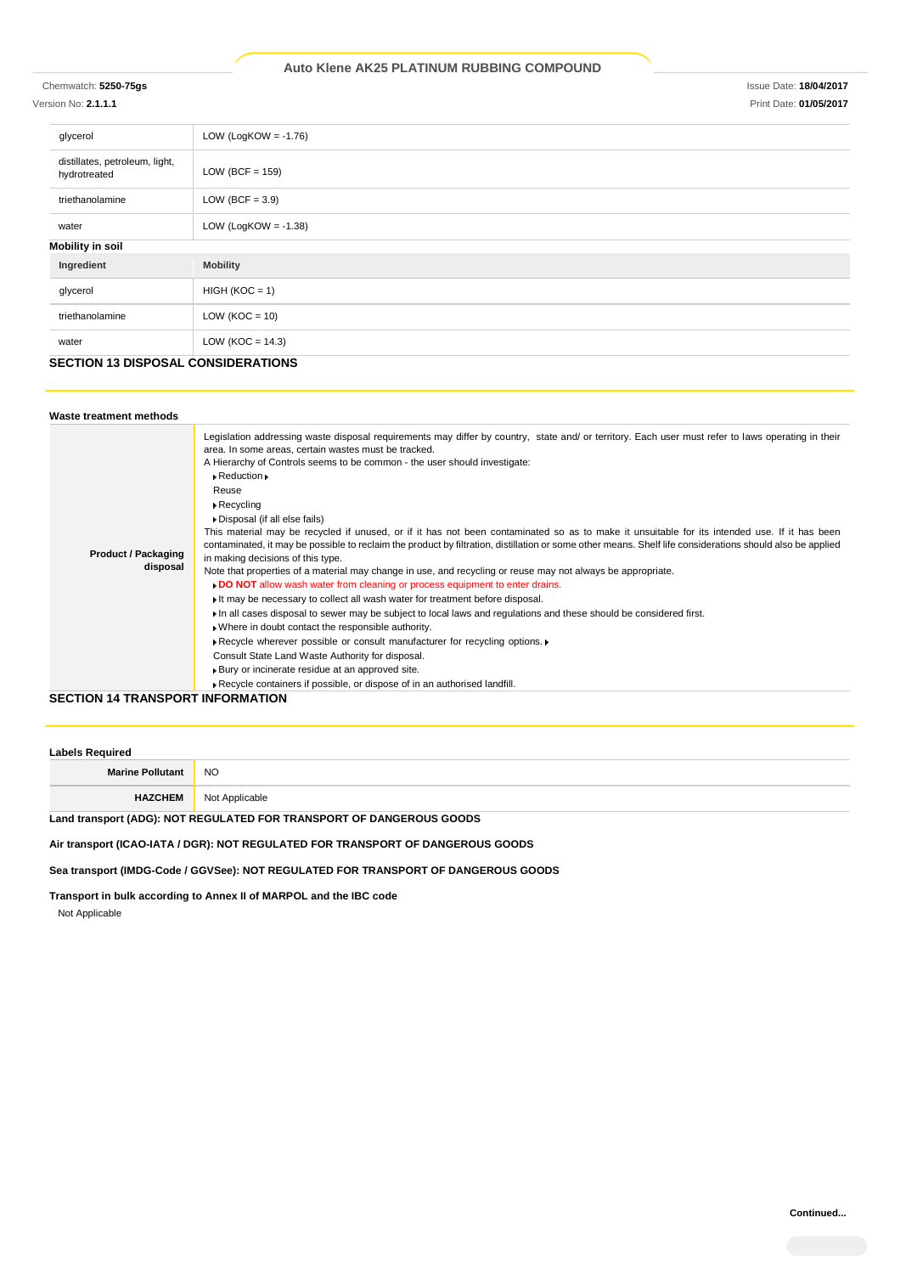### Chemwatch: **5250-75gs** Issue Date: **18/04/2017**

| glycerol                                       | LOW (LogKOW = $-1.76$ ) |
|------------------------------------------------|-------------------------|
| distillates, petroleum, light,<br>hydrotreated | LOW (BCF = $159$ )      |
| triethanolamine                                | LOW (BCF = $3.9$ )      |
| water                                          | LOW (LogKOW = $-1.38$ ) |
| <b>Mobility in soil</b>                        |                         |
| Ingredient                                     | <b>Mobility</b>         |
| glycerol                                       | $HIGH (KOC = 1)$        |
| triethanolamine                                | $LOW (KOC = 10)$        |
| water                                          | LOW ( $KOC = 14.3$ )    |
|                                                |                         |

### **SECTION 13 DISPOSAL CONSIDERATIONS**

| Waste treatment methods                 |                                                                                                                                                                                                                                                                                                                                                                                                                                                                                                                                                                                                                                                                                                                                                                                                                                                                                                                                                                                                                                                                                                                                                                                                                                                                                                                                                                                                                                                                                              |
|-----------------------------------------|----------------------------------------------------------------------------------------------------------------------------------------------------------------------------------------------------------------------------------------------------------------------------------------------------------------------------------------------------------------------------------------------------------------------------------------------------------------------------------------------------------------------------------------------------------------------------------------------------------------------------------------------------------------------------------------------------------------------------------------------------------------------------------------------------------------------------------------------------------------------------------------------------------------------------------------------------------------------------------------------------------------------------------------------------------------------------------------------------------------------------------------------------------------------------------------------------------------------------------------------------------------------------------------------------------------------------------------------------------------------------------------------------------------------------------------------------------------------------------------------|
| <b>Product / Packaging</b><br>disposal  | Legislation addressing waste disposal requirements may differ by country, state and/ or territory. Each user must refer to laws operating in their<br>area. In some areas, certain wastes must be tracked.<br>A Hierarchy of Controls seems to be common - the user should investigate:<br>$\triangleright$ Reduction $\triangleright$<br>Reuse<br>$\triangleright$ Recycling<br>Disposal (if all else fails)<br>This material may be recycled if unused, or if it has not been contaminated so as to make it unsuitable for its intended use. If it has been<br>contaminated, it may be possible to reclaim the product by filtration, distillation or some other means. Shelf life considerations should also be applied<br>in making decisions of this type.<br>Note that properties of a material may change in use, and recycling or reuse may not always be appropriate.<br>DO NOT allow wash water from cleaning or process equipment to enter drains.<br>If may be necessary to collect all wash water for treatment before disposal.<br>In all cases disposal to sewer may be subject to local laws and regulations and these should be considered first.<br>. Where in doubt contact the responsible authority.<br>▶ Recycle wherever possible or consult manufacturer for recycling options.<br>Consult State Land Waste Authority for disposal.<br>▶ Bury or incinerate residue at an approved site.<br>Recycle containers if possible, or dispose of in an authorised landfill. |
| <b>SECTION 14 TRANSPORT INFORMATION</b> |                                                                                                                                                                                                                                                                                                                                                                                                                                                                                                                                                                                                                                                                                                                                                                                                                                                                                                                                                                                                                                                                                                                                                                                                                                                                                                                                                                                                                                                                                              |

# **Labels Required Marine Pollutant** NO **HAZCHEM** Not Applicable

# **Land transport (ADG): NOT REGULATED FOR TRANSPORT OF DANGEROUS GOODS**

**Air transport (ICAO-IATA / DGR): NOT REGULATED FOR TRANSPORT OF DANGEROUS GOODS**

### **Sea transport (IMDG-Code / GGVSee): NOT REGULATED FOR TRANSPORT OF DANGEROUS GOODS**

**Transport in bulk according to Annex II of MARPOL and the IBC code**

Not Applicable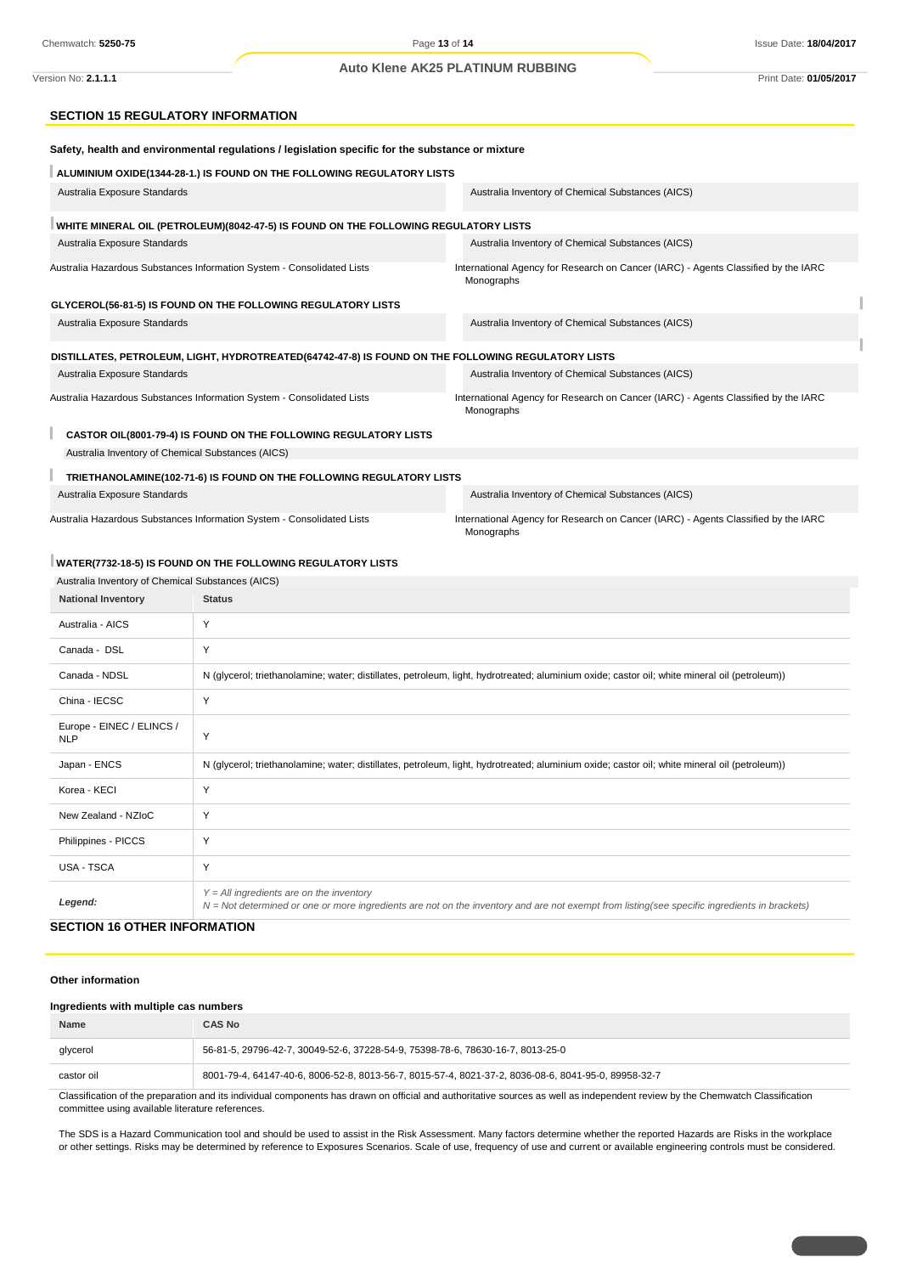### **Auto Klene AK25 PLATINUM RUBBING**

Version No: **2.1.1.1** Print Date: **01/05/2017**

### **SECTION 15 REGULATORY INFORMATION**

|                                                                                     | Safety, health and environmental regulations / legislation specific for the substance or mixture                                                                                           |                                                                                                                                               |  |  |
|-------------------------------------------------------------------------------------|--------------------------------------------------------------------------------------------------------------------------------------------------------------------------------------------|-----------------------------------------------------------------------------------------------------------------------------------------------|--|--|
|                                                                                     | ALUMINIUM OXIDE(1344-28-1.) IS FOUND ON THE FOLLOWING REGULATORY LISTS                                                                                                                     |                                                                                                                                               |  |  |
| Australia Exposure Standards                                                        |                                                                                                                                                                                            | Australia Inventory of Chemical Substances (AICS)                                                                                             |  |  |
| WHITE MINERAL OIL (PETROLEUM)(8042-47-5) IS FOUND ON THE FOLLOWING REGULATORY LISTS |                                                                                                                                                                                            |                                                                                                                                               |  |  |
| Australia Exposure Standards                                                        |                                                                                                                                                                                            | Australia Inventory of Chemical Substances (AICS)                                                                                             |  |  |
| Australia Hazardous Substances Information System - Consolidated Lists              |                                                                                                                                                                                            | International Agency for Research on Cancer (IARC) - Agents Classified by the IARC<br>Monographs                                              |  |  |
|                                                                                     | GLYCEROL(56-81-5) IS FOUND ON THE FOLLOWING REGULATORY LISTS                                                                                                                               |                                                                                                                                               |  |  |
| Australia Exposure Standards                                                        |                                                                                                                                                                                            | Australia Inventory of Chemical Substances (AICS)                                                                                             |  |  |
|                                                                                     | DISTILLATES, PETROLEUM, LIGHT, HYDROTREATED(64742-47-8) IS FOUND ON THE FOLLOWING REGULATORY LISTS                                                                                         |                                                                                                                                               |  |  |
| Australia Exposure Standards                                                        |                                                                                                                                                                                            | Australia Inventory of Chemical Substances (AICS)                                                                                             |  |  |
| Australia Hazardous Substances Information System - Consolidated Lists              |                                                                                                                                                                                            | International Agency for Research on Cancer (IARC) - Agents Classified by the IARC<br>Monographs                                              |  |  |
|                                                                                     | <b>CASTOR OIL(8001-79-4) IS FOUND ON THE FOLLOWING REGULATORY LISTS</b>                                                                                                                    |                                                                                                                                               |  |  |
| Australia Inventory of Chemical Substances (AICS)                                   |                                                                                                                                                                                            |                                                                                                                                               |  |  |
|                                                                                     | TRIETHANOLAMINE(102-71-6) IS FOUND ON THE FOLLOWING REGULATORY LISTS                                                                                                                       |                                                                                                                                               |  |  |
| Australia Exposure Standards                                                        |                                                                                                                                                                                            | Australia Inventory of Chemical Substances (AICS)                                                                                             |  |  |
| Australia Hazardous Substances Information System - Consolidated Lists              |                                                                                                                                                                                            | International Agency for Research on Cancer (IARC) - Agents Classified by the IARC<br>Monographs                                              |  |  |
|                                                                                     | WATER(7732-18-5) IS FOUND ON THE FOLLOWING REGULATORY LISTS                                                                                                                                |                                                                                                                                               |  |  |
| Australia Inventory of Chemical Substances (AICS)                                   |                                                                                                                                                                                            |                                                                                                                                               |  |  |
| <b>National Inventory</b>                                                           | <b>Status</b>                                                                                                                                                                              |                                                                                                                                               |  |  |
| Australia - AICS                                                                    | Υ                                                                                                                                                                                          |                                                                                                                                               |  |  |
| Canada - DSL                                                                        | Y                                                                                                                                                                                          |                                                                                                                                               |  |  |
| Canada - NDSL                                                                       |                                                                                                                                                                                            | N (glycerol; triethanolamine; water; distillates, petroleum, light, hydrotreated; aluminium oxide; castor oil; white mineral oil (petroleum)) |  |  |
| China - IECSC                                                                       | Υ                                                                                                                                                                                          |                                                                                                                                               |  |  |
| Europe - EINEC / ELINCS /<br><b>NLP</b>                                             | Υ                                                                                                                                                                                          |                                                                                                                                               |  |  |
| Japan - ENCS                                                                        |                                                                                                                                                                                            | N (glycerol; triethanolamine; water; distillates, petroleum, light, hydrotreated; aluminium oxide; castor oil; white mineral oil (petroleum)) |  |  |
| Korea - KECI                                                                        | Υ                                                                                                                                                                                          |                                                                                                                                               |  |  |
| New Zealand - NZIoC                                                                 | Y                                                                                                                                                                                          |                                                                                                                                               |  |  |
| Philippines - PICCS                                                                 | Υ                                                                                                                                                                                          |                                                                                                                                               |  |  |
| USA - TSCA                                                                          | Y                                                                                                                                                                                          |                                                                                                                                               |  |  |
| Legend:                                                                             | $Y = All$ ingredients are on the inventory<br>N = Not determined or one or more ingredients are not on the inventory and are not exempt from listing(see specific ingredients in brackets) |                                                                                                                                               |  |  |
| <b>SECTION 16 OTHER INFORMATION</b>                                                 |                                                                                                                                                                                            |                                                                                                                                               |  |  |

### **Other information**

### **Ingredients with multiple cas numbers**

| <b>Name</b> | <b>CAS No</b>                                                                                                                                                                  |
|-------------|--------------------------------------------------------------------------------------------------------------------------------------------------------------------------------|
| glycerol    | 56-81-5, 29796-42-7, 30049-52-6, 37228-54-9, 75398-78-6, 78630-16-7, 8013-25-0                                                                                                 |
| castor oil  | 8001-79-4, 64147-40-6, 8006-52-8, 8013-56-7, 8015-57-4, 8021-37-2, 8036-08-6, 8041-95-0, 89958-32-7                                                                            |
|             | Classification of the preparation and its individual companante has drown an official and outboritative equation as well as independent review by the Chamuatab Classification |

cation of the preparation and its individual components has drawn on official and authoritative sources as well as independent review by the Chemwatch Classification committee using available literature references.

The SDS is a Hazard Communication tool and should be used to assist in the Risk Assessment. Many factors determine whether the reported Hazards are Risks in the workplace or other settings. Risks may be determined by reference to Exposures Scenarios. Scale of use, frequency of use and current or available engineering controls must be considered.